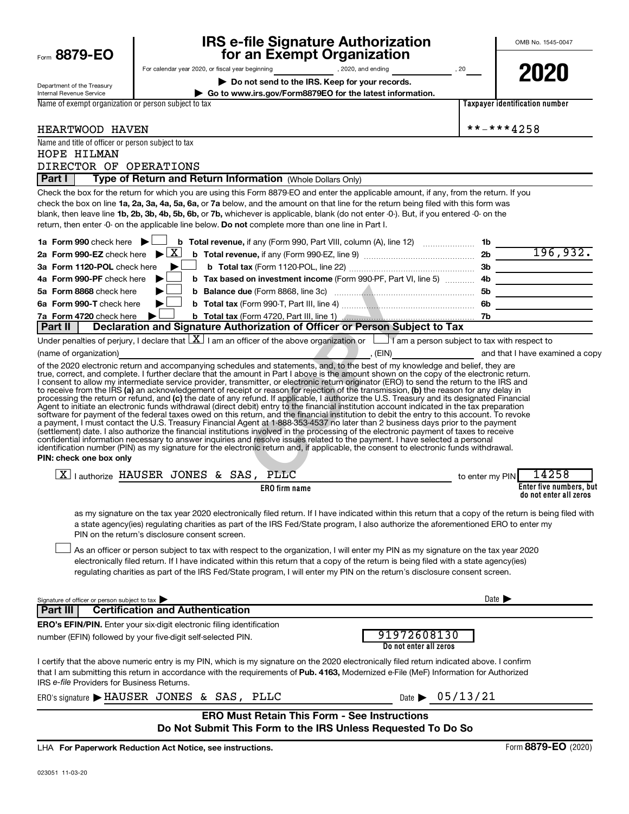| Form 8879-EO                                              | <b>IRS e-file Signature Authorization</b><br>for an Exempt Organization                                                                                                                                                                                                                                                                                                                                                                                                                                                                                                                                                                                                                                                                                                                                                                                                                                                                                                                         | OMB No. 1545-0047                           |
|-----------------------------------------------------------|-------------------------------------------------------------------------------------------------------------------------------------------------------------------------------------------------------------------------------------------------------------------------------------------------------------------------------------------------------------------------------------------------------------------------------------------------------------------------------------------------------------------------------------------------------------------------------------------------------------------------------------------------------------------------------------------------------------------------------------------------------------------------------------------------------------------------------------------------------------------------------------------------------------------------------------------------------------------------------------------------|---------------------------------------------|
| Department of the Treasury<br>Internal Revenue Service    | Do not send to the IRS. Keep for your records.<br>Go to www.irs.gov/Form8879EO for the latest information.                                                                                                                                                                                                                                                                                                                                                                                                                                                                                                                                                                                                                                                                                                                                                                                                                                                                                      | 2020                                        |
| Name of exempt organization or person subject to tax      |                                                                                                                                                                                                                                                                                                                                                                                                                                                                                                                                                                                                                                                                                                                                                                                                                                                                                                                                                                                                 | Taxpayer identification number              |
| HEARTWOOD HAVEN                                           |                                                                                                                                                                                                                                                                                                                                                                                                                                                                                                                                                                                                                                                                                                                                                                                                                                                                                                                                                                                                 | **-***4258                                  |
| Name and title of officer or person subject to tax        |                                                                                                                                                                                                                                                                                                                                                                                                                                                                                                                                                                                                                                                                                                                                                                                                                                                                                                                                                                                                 |                                             |
| HOPE HILMAN                                               |                                                                                                                                                                                                                                                                                                                                                                                                                                                                                                                                                                                                                                                                                                                                                                                                                                                                                                                                                                                                 |                                             |
| DIRECTOR OF OPERATIONS                                    |                                                                                                                                                                                                                                                                                                                                                                                                                                                                                                                                                                                                                                                                                                                                                                                                                                                                                                                                                                                                 |                                             |
| Part I                                                    | Type of Return and Return Information (Whole Dollars Only)                                                                                                                                                                                                                                                                                                                                                                                                                                                                                                                                                                                                                                                                                                                                                                                                                                                                                                                                      |                                             |
|                                                           | Check the box for the return for which you are using this Form 8879-EO and enter the applicable amount, if any, from the return. If you<br>check the box on line 1a, 2a, 3a, 4a, 5a, 6a, or 7a below, and the amount on that line for the return being filed with this form was<br>blank, then leave line 1b, 2b, 3b, 4b, 5b, 6b, or 7b, whichever is applicable, blank (do not enter -0-). But, if you entered -0- on the<br>return, then enter -0- on the applicable line below. Do not complete more than one line in Part I.                                                                                                                                                                                                                                                                                                                                                                                                                                                                |                                             |
|                                                           |                                                                                                                                                                                                                                                                                                                                                                                                                                                                                                                                                                                                                                                                                                                                                                                                                                                                                                                                                                                                 |                                             |
|                                                           |                                                                                                                                                                                                                                                                                                                                                                                                                                                                                                                                                                                                                                                                                                                                                                                                                                                                                                                                                                                                 |                                             |
| 3a Form 1120-POL check here                               | $\blacktriangleright$ 1                                                                                                                                                                                                                                                                                                                                                                                                                                                                                                                                                                                                                                                                                                                                                                                                                                                                                                                                                                         |                                             |
| 4a Form 990-PF check here                                 | b Tax based on investment income (Form 990-PF, Part VI, line 5)  4b<br>$\blacktriangleright$                                                                                                                                                                                                                                                                                                                                                                                                                                                                                                                                                                                                                                                                                                                                                                                                                                                                                                    |                                             |
| 5a Form 8868 check here                                   |                                                                                                                                                                                                                                                                                                                                                                                                                                                                                                                                                                                                                                                                                                                                                                                                                                                                                                                                                                                                 |                                             |
| 6a Form 990-T check here                                  | b Total tax (Form 990-T, Part III, line 4) <b>Manual Manual According to Total tax</b> (Form 990-T, Part III, line 4)<br>▶∣                                                                                                                                                                                                                                                                                                                                                                                                                                                                                                                                                                                                                                                                                                                                                                                                                                                                     |                                             |
| 7a Form 4720 check here<br>Part II                        | Declaration and Signature Authorization of Officer or Person Subject to Tax                                                                                                                                                                                                                                                                                                                                                                                                                                                                                                                                                                                                                                                                                                                                                                                                                                                                                                                     |                                             |
|                                                           | Under penalties of perjury, I declare that $ X $ I am an officer of the above organization or $ Y $ I am a person subject to tax with respect to                                                                                                                                                                                                                                                                                                                                                                                                                                                                                                                                                                                                                                                                                                                                                                                                                                                |                                             |
| (name of organization)                                    | <u> Estados de la contrada de la contrada de la contrada de la contrada de la contrada de la contrada de la con</u>                                                                                                                                                                                                                                                                                                                                                                                                                                                                                                                                                                                                                                                                                                                                                                                                                                                                             | (EIN) (EIN) and that I have examined a copy |
| PIN: check one box only                                   | processing the return or refund, and (c) the date of any refund. If applicable, I authorize the U.S. Treasury and its designated Financial<br>Agent to initiate an electronic funds withdrawal (direct debit) entry to the financial institution account indicated in the tax preparation<br>software for payment of the federal taxes owed on this return, and the financial institution to debit the entry to this account. To revoke<br>a payment, I must contact the U.S. Treasury Financial Agent at 1-888-353-4537 no later than 2 business days prior to the payment<br>(settlement) date. I also authorize the financial institutions involved in the processing of the electronic payment of taxes to receive<br>confidential information necessary to answer inquiries and resolve issues related to the payment. I have selected a personal<br>identification number (PIN) as my signature for the electronic return and, if applicable, the consent to electronic funds withdrawal. |                                             |
|                                                           | $X$   authorize HAUSER JONES & SAS, PLLC<br>to enter my PIN                                                                                                                                                                                                                                                                                                                                                                                                                                                                                                                                                                                                                                                                                                                                                                                                                                                                                                                                     | 14258                                       |
|                                                           | <b>ERO</b> firm name                                                                                                                                                                                                                                                                                                                                                                                                                                                                                                                                                                                                                                                                                                                                                                                                                                                                                                                                                                            | Enter five numbers, but                     |
|                                                           | as my signature on the tax year 2020 electronically filed return. If I have indicated within this return that a copy of the return is being filed with<br>a state agency(ies) regulating charities as part of the IRS Fed/State program, I also authorize the aforementioned ERO to enter my<br>PIN on the return's disclosure consent screen.<br>As an officer or person subject to tax with respect to the organization, I will enter my PIN as my signature on the tax year 2020<br>electronically filed return. If I have indicated within this return that a copy of the return is being filed with a state agency(ies)<br>regulating charities as part of the IRS Fed/State program, I will enter my PIN on the return's disclosure consent screen.                                                                                                                                                                                                                                       | do not enter all zeros                      |
|                                                           |                                                                                                                                                                                                                                                                                                                                                                                                                                                                                                                                                                                                                                                                                                                                                                                                                                                                                                                                                                                                 |                                             |
| Signature of officer or person subject to tax<br>Part III | <b>Certification and Authentication</b>                                                                                                                                                                                                                                                                                                                                                                                                                                                                                                                                                                                                                                                                                                                                                                                                                                                                                                                                                         | Date $\blacktriangleright$                  |
|                                                           | <b>ERO's EFIN/PIN.</b> Enter your six-digit electronic filing identification                                                                                                                                                                                                                                                                                                                                                                                                                                                                                                                                                                                                                                                                                                                                                                                                                                                                                                                    |                                             |
|                                                           | 91972608130<br>number (EFIN) followed by your five-digit self-selected PIN.<br>Do not enter all zeros                                                                                                                                                                                                                                                                                                                                                                                                                                                                                                                                                                                                                                                                                                                                                                                                                                                                                           |                                             |
| IRS e-file Providers for Business Returns.                | I certify that the above numeric entry is my PIN, which is my signature on the 2020 electronically filed return indicated above. I confirm<br>that I am submitting this return in accordance with the requirements of Pub. 4163, Modernized e-File (MeF) Information for Authorized                                                                                                                                                                                                                                                                                                                                                                                                                                                                                                                                                                                                                                                                                                             |                                             |
|                                                           | Date $\triangleright$ 05/13/21<br>ERO's signature $\blacktriangleright$ HAUSER JONES & SAS, PLLC                                                                                                                                                                                                                                                                                                                                                                                                                                                                                                                                                                                                                                                                                                                                                                                                                                                                                                |                                             |
|                                                           | <b>ERO Must Retain This Form - See Instructions</b><br>Do Not Submit This Form to the IRS Unless Requested To Do So                                                                                                                                                                                                                                                                                                                                                                                                                                                                                                                                                                                                                                                                                                                                                                                                                                                                             |                                             |

**For Paperwork Reduction Act Notice, see instructions.** LHA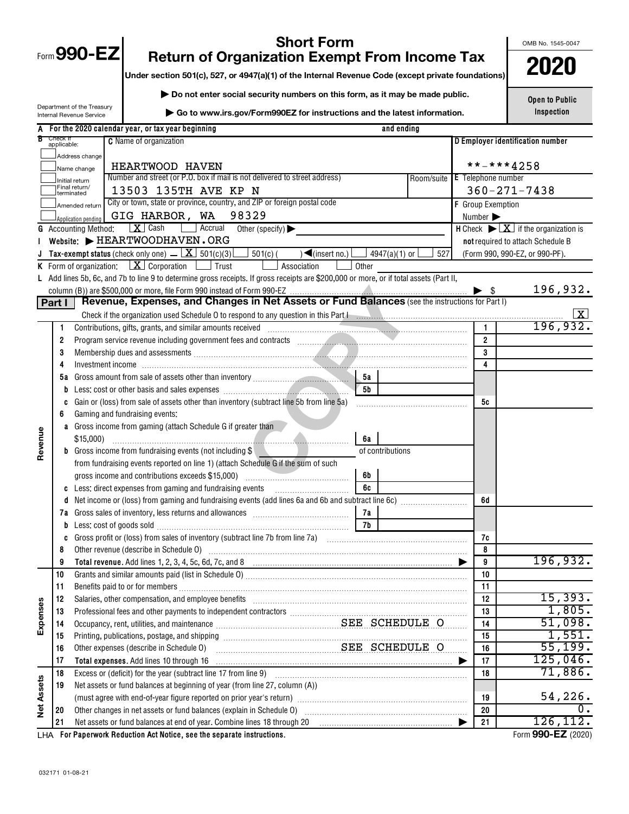| ╲<br>Form 990 |
|---------------|
|---------------|

OMB No. 1545-0047

## **Short Form**<br>**1990-EXEMPLE FROM INCOME TAX Proference Solution State-004**<br> **1990-EXEMPLE FOR ASSET OF 4947/aV1) of the Internal Bevenue Code (except private foundations)**

**Under section 501(c), 527, or 4947(a)(1) of the Internal Revenue Code (except private foundations)**

**| Do not enter social security numbers on this form, as it may be made public.**

Department of the Treasury Internal Revenue Service

**| Go to www.irs.gov/Form990EZ for instructions and the latest information.**

**Open to Public Inspection**

| A                 |                         |                                                         | For the 2020 calendar year, or tax year beginning<br>and ending                                                                                                                                                                      |                  |                           |                                                                                |                                  |  |  |  |  |  |
|-------------------|-------------------------|---------------------------------------------------------|--------------------------------------------------------------------------------------------------------------------------------------------------------------------------------------------------------------------------------------|------------------|---------------------------|--------------------------------------------------------------------------------|----------------------------------|--|--|--|--|--|
|                   | Check if<br>applicable: |                                                         | <b>C</b> Name of organization                                                                                                                                                                                                        |                  |                           |                                                                                | D Employer identification number |  |  |  |  |  |
|                   |                         | Address change                                          |                                                                                                                                                                                                                                      |                  |                           |                                                                                |                                  |  |  |  |  |  |
|                   |                         | Name change                                             | HEARTWOOD HAVEN                                                                                                                                                                                                                      |                  |                           | **-***4258                                                                     |                                  |  |  |  |  |  |
|                   |                         | <br>  Initial return<br>  Final return/                 | Number and street (or P.O. box if mail is not delivered to street address)                                                                                                                                                           |                  | <b>E</b> Telephone number |                                                                                |                                  |  |  |  |  |  |
|                   |                         | terminated                                              | 13503 135TH AVE KP N                                                                                                                                                                                                                 |                  |                           | $360 - 271 - 7438$                                                             |                                  |  |  |  |  |  |
|                   |                         | Amended return                                          | City or town, state or province, country, and ZIP or foreign postal code                                                                                                                                                             |                  | <b>F</b> Group Exemption  |                                                                                |                                  |  |  |  |  |  |
|                   |                         | GIG HARBOR, WA 98329<br>Number ><br>Application pending |                                                                                                                                                                                                                                      |                  |                           |                                                                                |                                  |  |  |  |  |  |
| G                 |                         | <b>Accounting Method:</b>                               | $\boxed{\mathbf{X}}$ Cash<br><b>Accrual</b><br>Other (specify) $\blacktriangleright$                                                                                                                                                 |                  |                           | <b>H</b> Check $\blacktriangleright \boxed{\mathbf{X}}$ if the organization is |                                  |  |  |  |  |  |
|                   |                         |                                                         | Website: FIEARTWOODHAVEN.ORG                                                                                                                                                                                                         |                  |                           | not required to attach Schedule B                                              |                                  |  |  |  |  |  |
|                   |                         |                                                         | <b>Tax-exempt status</b> (check only one) $\angle$ $\boxed{\mathbf{X}}$ 501(c)(3)<br>$\Box$ 501(c) (<br>$\Box$ (insert no.) $\Box$<br>_] 4947(a)(1) or [                                                                             | 527              |                           |                                                                                | (Form 990, 990-EZ, or 990-PF).   |  |  |  |  |  |
|                   |                         |                                                         | <b>K</b> Form of organization: $X \cdot \text{Corporation}$ $\Box$ Trust<br>Association<br>Other                                                                                                                                     |                  |                           |                                                                                |                                  |  |  |  |  |  |
|                   |                         |                                                         | L Add lines 5b, 6c, and 7b to line 9 to determine gross receipts. If gross receipts are \$200,000 or more, or if total assets (Part II,                                                                                              |                  |                           |                                                                                |                                  |  |  |  |  |  |
|                   |                         |                                                         |                                                                                                                                                                                                                                      |                  |                           | $\blacktriangleright$ \$                                                       | 196,932.                         |  |  |  |  |  |
|                   | Part I                  |                                                         | Revenue, Expenses, and Changes in Net Assets or Fund Balances (see the instructions for Part I)                                                                                                                                      |                  |                           |                                                                                |                                  |  |  |  |  |  |
|                   |                         |                                                         |                                                                                                                                                                                                                                      |                  |                           |                                                                                | $\lfloor x \rfloor$              |  |  |  |  |  |
|                   | 1                       |                                                         |                                                                                                                                                                                                                                      |                  |                           |                                                                                | 196,932.                         |  |  |  |  |  |
|                   | $\overline{2}$          |                                                         |                                                                                                                                                                                                                                      |                  |                           | $\overline{2}$                                                                 |                                  |  |  |  |  |  |
|                   | 3                       |                                                         |                                                                                                                                                                                                                                      |                  |                           | $\mathbf{3}$                                                                   |                                  |  |  |  |  |  |
|                   | 4                       |                                                         |                                                                                                                                                                                                                                      |                  |                           | $\overline{\mathbf{4}}$                                                        |                                  |  |  |  |  |  |
|                   |                         |                                                         | <b>5a</b>                                                                                                                                                                                                                            |                  |                           |                                                                                |                                  |  |  |  |  |  |
|                   |                         |                                                         | 5b                                                                                                                                                                                                                                   |                  |                           |                                                                                |                                  |  |  |  |  |  |
|                   |                         |                                                         | Gain or (loss) from sale of assets other than inventory (subtract line 5b from line 5a)                                                                                                                                              |                  |                           | 5c                                                                             |                                  |  |  |  |  |  |
|                   | 6                       |                                                         | Gaming and fundraising events:                                                                                                                                                                                                       |                  |                           |                                                                                |                                  |  |  |  |  |  |
|                   | a                       |                                                         | Gross income from gaming (attach Schedule G if greater than                                                                                                                                                                          |                  |                           |                                                                                |                                  |  |  |  |  |  |
| Revenue           |                         | \$15,000                                                | 6a                                                                                                                                                                                                                                   |                  |                           |                                                                                |                                  |  |  |  |  |  |
|                   |                         |                                                         | <b>b</b> Gross income from fundraising events (not including \$                                                                                                                                                                      | of contributions |                           |                                                                                |                                  |  |  |  |  |  |
|                   |                         |                                                         | from fundraising events reported on line 1) (attach Schedule G if the sum of such<br>6b                                                                                                                                              |                  |                           |                                                                                |                                  |  |  |  |  |  |
|                   |                         |                                                         | gross income and contributions exceeds \$15,000)<br>6c                                                                                                                                                                               |                  |                           |                                                                                |                                  |  |  |  |  |  |
|                   |                         |                                                         | Less: direct expenses from gaming and fundraising events                                                                                                                                                                             |                  |                           | 6d                                                                             |                                  |  |  |  |  |  |
|                   | 7а                      |                                                         | 7a                                                                                                                                                                                                                                   |                  |                           |                                                                                |                                  |  |  |  |  |  |
|                   |                         |                                                         | 7b<br>Less: cost of goods sold with an annumerator and contact the sold with the set of goods sold with the set of the set of the set of the set of the set of the set of the set of the set of the set of the set of the set of the |                  |                           |                                                                                |                                  |  |  |  |  |  |
|                   | C                       |                                                         |                                                                                                                                                                                                                                      |                  |                           | 7c                                                                             |                                  |  |  |  |  |  |
|                   | 8                       |                                                         | Other revenue (describe in Schedule O) manufactured and content to the schedule O)                                                                                                                                                   |                  | 8                         |                                                                                |                                  |  |  |  |  |  |
|                   | 9                       |                                                         |                                                                                                                                                                                                                                      |                  |                           | 9                                                                              | 196,932.                         |  |  |  |  |  |
|                   | 10                      |                                                         |                                                                                                                                                                                                                                      |                  |                           | 10                                                                             |                                  |  |  |  |  |  |
|                   | 11                      |                                                         |                                                                                                                                                                                                                                      |                  |                           | 11                                                                             |                                  |  |  |  |  |  |
|                   | 12                      |                                                         | Salaries, other compensation, and employee benefits                                                                                                                                                                                  |                  |                           | 12                                                                             | 15,393.                          |  |  |  |  |  |
|                   | 13                      |                                                         |                                                                                                                                                                                                                                      |                  |                           | 13                                                                             | 1,805.                           |  |  |  |  |  |
| Expenses          | 14                      |                                                         | Occupancy, rent, utilities, and maintenance Material Material SEE SCHEDULE O                                                                                                                                                         |                  |                           | 14                                                                             | 51,098.                          |  |  |  |  |  |
|                   | 15                      |                                                         | Printing, publications, postage, and shipping                                                                                                                                                                                        |                  |                           | 15                                                                             | 1,551.                           |  |  |  |  |  |
|                   | 16                      |                                                         | SEE SCHEDULE O<br>Other expenses (describe in Schedule O)                                                                                                                                                                            |                  |                           | 16                                                                             | 55,199.                          |  |  |  |  |  |
|                   | 17                      |                                                         | Total expenses. Add lines 10 through 16                                                                                                                                                                                              |                  |                           | 17                                                                             | 125,046.                         |  |  |  |  |  |
|                   | 18                      |                                                         | Excess or (deficit) for the year (subtract line 17 from line 9)                                                                                                                                                                      |                  |                           | 18                                                                             | 71,886.                          |  |  |  |  |  |
|                   | 19                      |                                                         | Net assets or fund balances at beginning of year (from line 27, column (A))                                                                                                                                                          |                  |                           |                                                                                |                                  |  |  |  |  |  |
|                   |                         |                                                         |                                                                                                                                                                                                                                      |                  |                           | 19                                                                             | 54,226.                          |  |  |  |  |  |
| <b>Net Assets</b> | 20                      |                                                         | Other changes in net assets or fund balances (explain in Schedule O)                                                                                                                                                                 |                  |                           | 20                                                                             | 0.                               |  |  |  |  |  |
|                   | 21                      |                                                         | Net assets or fund balances at end of year. Combine lines 18 through 20                                                                                                                                                              |                  |                           | 21                                                                             | 126,112.                         |  |  |  |  |  |
|                   |                         |                                                         | LHA For Paperwork Reduction Act Notice, see the separate instructions.                                                                                                                                                               |                  |                           |                                                                                | Form 990-EZ (2020)               |  |  |  |  |  |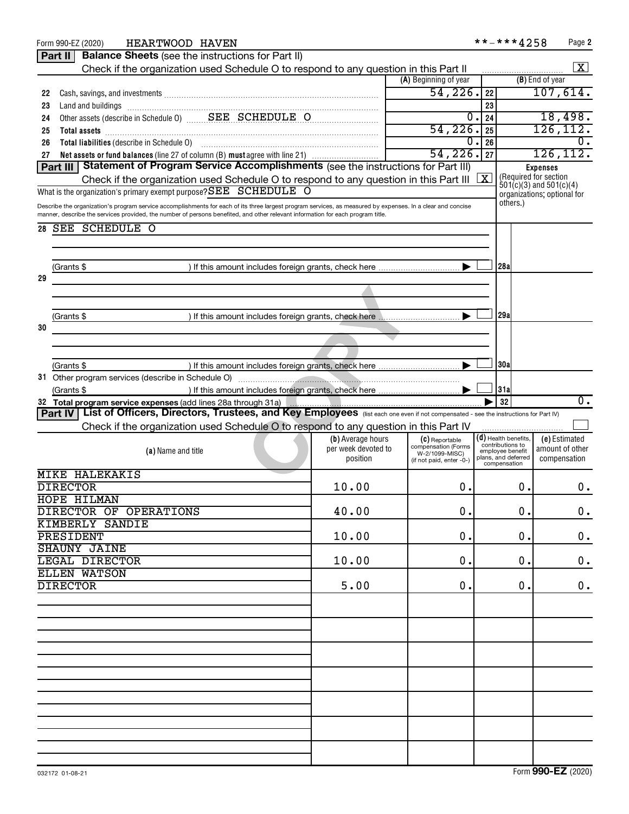|    | HEARTWOOD HAVEN<br>Form 990-EZ (2020)                                                                                                                                                                                          |                     |                                       |            | **-***4258                           | Page 2                                                     |  |
|----|--------------------------------------------------------------------------------------------------------------------------------------------------------------------------------------------------------------------------------|---------------------|---------------------------------------|------------|--------------------------------------|------------------------------------------------------------|--|
|    | <b>Balance Sheets</b> (see the instructions for Part II)<br>Part II                                                                                                                                                            |                     |                                       |            |                                      |                                                            |  |
|    | Check if the organization used Schedule O to respond to any question in this Part II                                                                                                                                           |                     |                                       |            |                                      | X                                                          |  |
|    |                                                                                                                                                                                                                                |                     | (A) Beginning of year                 |            |                                      | (B) End of year                                            |  |
| 22 |                                                                                                                                                                                                                                |                     | 54,226.                               | 22         |                                      | 107,614.                                                   |  |
| 23 | Land and buildings [11] Martin Martin Martin Martin Martin Martin Martin Martin Martin Martin Martin Martin Ma                                                                                                                 |                     |                                       | 23         |                                      |                                                            |  |
| 24 | Other assets (describe in Schedule 0) SEE SCHEDULE O                                                                                                                                                                           |                     | 0.1                                   | 24         |                                      | 18,498.                                                    |  |
| 25 | Total assets <b>communications</b> and assets <b>and assets communications continued assets communications</b>                                                                                                                 |                     | 54,226.                               | 25         |                                      | 126, 112.                                                  |  |
| 26 | Total liabilities (describe in Schedule 0) [11] [12] matter successive and schedule by the state state of the state state state state state state state state state state state state state state state state state state stat |                     | 0                                     | 26         |                                      | 0.                                                         |  |
| 27 | Net assets or fund balances (line 27 of column (B) must agree with line 21)                                                                                                                                                    |                     | 54,226.                               | 27         |                                      | 126, 112.                                                  |  |
|    | Part III Statement of Program Service Accomplishments (see the instructions for Part III)                                                                                                                                      |                     |                                       |            |                                      | <b>Expenses</b>                                            |  |
|    | Check if the organization used Schedule O to respond to any question in this Part III                                                                                                                                          |                     |                                       | $\sqrt{X}$ |                                      | (Required for section                                      |  |
|    | What is the organization's primary exempt purpose? SEE SCHEDULE O                                                                                                                                                              |                     |                                       |            |                                      | $501(c)(3)$ and $501(c)(4)$<br>organizations; optional for |  |
|    | Describe the organization's program service accomplishments for each of its three largest program services, as measured by expenses. In a clear and concise                                                                    |                     |                                       |            | others.)                             |                                                            |  |
|    | manner, describe the services provided, the number of persons benefited, and other relevant information for each program title.                                                                                                |                     |                                       |            |                                      |                                                            |  |
| 28 | SEE SCHEDULE O                                                                                                                                                                                                                 |                     |                                       |            |                                      |                                                            |  |
|    |                                                                                                                                                                                                                                |                     |                                       |            |                                      |                                                            |  |
|    |                                                                                                                                                                                                                                |                     |                                       |            |                                      |                                                            |  |
|    | (Grants \$                                                                                                                                                                                                                     |                     |                                       |            | 28a                                  |                                                            |  |
| 29 |                                                                                                                                                                                                                                |                     |                                       |            |                                      |                                                            |  |
|    |                                                                                                                                                                                                                                |                     |                                       |            |                                      |                                                            |  |
|    |                                                                                                                                                                                                                                |                     |                                       |            |                                      |                                                            |  |
|    | (Grants \$                                                                                                                                                                                                                     |                     |                                       |            | 29al                                 |                                                            |  |
| 30 |                                                                                                                                                                                                                                |                     |                                       |            |                                      |                                                            |  |
|    |                                                                                                                                                                                                                                |                     |                                       |            |                                      |                                                            |  |
|    |                                                                                                                                                                                                                                |                     |                                       |            |                                      |                                                            |  |
|    | (Grants \$                                                                                                                                                                                                                     |                     |                                       |            | 130a                                 |                                                            |  |
|    | 31 Other program services (describe in Schedule O)                                                                                                                                                                             |                     |                                       |            |                                      |                                                            |  |
|    | (Grants \$                                                                                                                                                                                                                     |                     |                                       |            | 31a                                  |                                                            |  |
|    | 32 Total program service expenses (add lines 28a through 31a)                                                                                                                                                                  |                     |                                       |            | 32                                   | $\overline{0}$ .                                           |  |
|    | List of Officers, Directors, Trustees, and Key Employees (list each one even if not compensated - see the instructions for Part IV)<br>Part IV                                                                                 |                     |                                       |            |                                      |                                                            |  |
|    | Check if the organization used Schedule O to respond to any question in this Part IV                                                                                                                                           |                     |                                       |            |                                      |                                                            |  |
|    |                                                                                                                                                                                                                                | (b) Average hours   | $(C)$ Reportable                      |            | $(d)$ Health benefits,               | (e) Estimated                                              |  |
|    | (a) Name and title                                                                                                                                                                                                             | per week devoted to | compensation (Forms<br>W-2/1099-MISC) |            | contributions to<br>employee benefit | amount of other                                            |  |
|    |                                                                                                                                                                                                                                | position            | (if not paid, enter -0-)              |            | plans, and deferred<br>compensation  | compensation                                               |  |
|    | <b>MIKE HALEKAKIS</b>                                                                                                                                                                                                          |                     |                                       |            |                                      |                                                            |  |
|    | <b>DIRECTOR</b>                                                                                                                                                                                                                | 10.00               | 0.                                    |            | 0.                                   | 0.                                                         |  |
|    | <b>HOPE HILMAN</b>                                                                                                                                                                                                             |                     |                                       |            |                                      |                                                            |  |
|    | DIRECTOR OF OPERATIONS                                                                                                                                                                                                         | 40.00               | 0.                                    |            | 0.                                   | 0.                                                         |  |
|    | <b>KIMBERLY SANDIE</b>                                                                                                                                                                                                         |                     |                                       |            |                                      |                                                            |  |
|    | PRESIDENT                                                                                                                                                                                                                      | 10.00               | 0.                                    |            | 0.                                   | 0.                                                         |  |
|    | <b>SHAUNY JAINE</b>                                                                                                                                                                                                            |                     |                                       |            |                                      |                                                            |  |
|    | LEGAL DIRECTOR                                                                                                                                                                                                                 | 10.00               | 0.                                    |            | 0.                                   | 0.                                                         |  |
|    | <b>ELLEN WATSON</b>                                                                                                                                                                                                            |                     |                                       |            |                                      |                                                            |  |
|    | <b>DIRECTOR</b>                                                                                                                                                                                                                | 5.00                | 0.                                    |            | 0.                                   | 0.                                                         |  |
|    |                                                                                                                                                                                                                                |                     |                                       |            |                                      |                                                            |  |
|    |                                                                                                                                                                                                                                |                     |                                       |            |                                      |                                                            |  |
|    |                                                                                                                                                                                                                                |                     |                                       |            |                                      |                                                            |  |
|    |                                                                                                                                                                                                                                |                     |                                       |            |                                      |                                                            |  |
|    |                                                                                                                                                                                                                                |                     |                                       |            |                                      |                                                            |  |
|    |                                                                                                                                                                                                                                |                     |                                       |            |                                      |                                                            |  |
|    |                                                                                                                                                                                                                                |                     |                                       |            |                                      |                                                            |  |
|    |                                                                                                                                                                                                                                |                     |                                       |            |                                      |                                                            |  |
|    |                                                                                                                                                                                                                                |                     |                                       |            |                                      |                                                            |  |
|    |                                                                                                                                                                                                                                |                     |                                       |            |                                      |                                                            |  |
|    |                                                                                                                                                                                                                                |                     |                                       |            |                                      |                                                            |  |
|    |                                                                                                                                                                                                                                |                     |                                       |            |                                      |                                                            |  |
|    |                                                                                                                                                                                                                                |                     |                                       |            |                                      |                                                            |  |
|    |                                                                                                                                                                                                                                |                     |                                       |            |                                      |                                                            |  |
|    |                                                                                                                                                                                                                                |                     |                                       |            |                                      |                                                            |  |
|    |                                                                                                                                                                                                                                |                     |                                       |            |                                      |                                                            |  |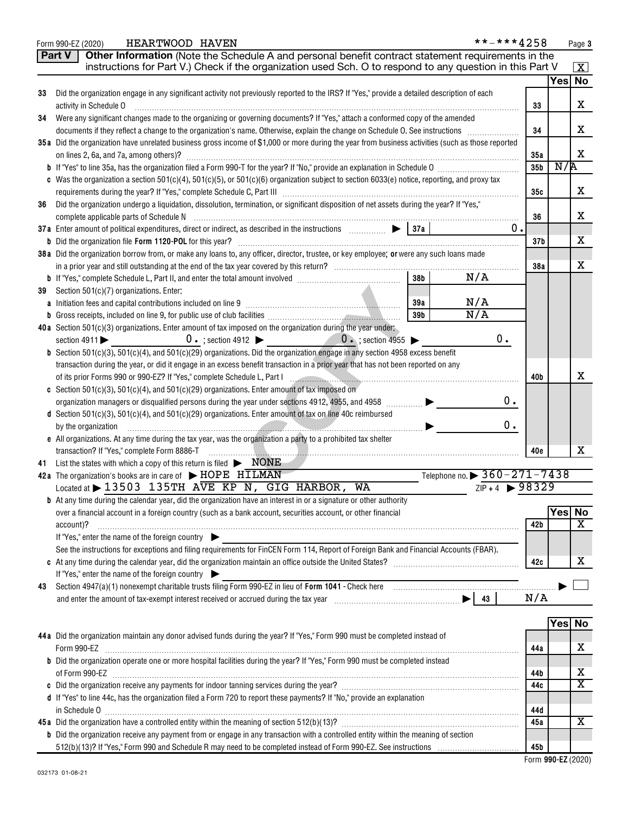|    | **-***4258<br>HEARTWOOD HAVEN<br>Form 990-EZ (2020)                                                                                                                                                                                        |                 |        | Page 3                     |
|----|--------------------------------------------------------------------------------------------------------------------------------------------------------------------------------------------------------------------------------------------|-----------------|--------|----------------------------|
|    | Other Information (Note the Schedule A and personal benefit contract statement requirements in the<br><b>Part V</b>                                                                                                                        |                 |        |                            |
|    | instructions for Part V.) Check if the organization used Sch. O to respond to any question in this Part V                                                                                                                                  |                 |        | $\boxed{\textbf{X}}$       |
|    |                                                                                                                                                                                                                                            |                 | Yes No |                            |
| 33 | Did the organization engage in any significant activity not previously reported to the IRS? If "Yes," provide a detailed description of each                                                                                               |                 |        |                            |
|    | activity in Schedule O                                                                                                                                                                                                                     | 33              |        | х                          |
| 34 | Were any significant changes made to the organizing or governing documents? If "Yes," attach a conformed copy of the amended                                                                                                               |                 |        |                            |
|    |                                                                                                                                                                                                                                            | 34              |        | x                          |
|    | 35a Did the organization have unrelated business gross income of \$1,000 or more during the year from business activities (such as those reported                                                                                          |                 |        |                            |
|    |                                                                                                                                                                                                                                            | 35a             |        | X                          |
|    |                                                                                                                                                                                                                                            | 35 <sub>b</sub> | N/R    |                            |
|    | c Was the organization a section 501(c)(4), 501(c)(5), or 501(c)(6) organization subject to section 6033(e) notice, reporting, and proxy tax                                                                                               |                 |        |                            |
|    |                                                                                                                                                                                                                                            | 35c             |        | X                          |
| 36 | Did the organization undergo a liquidation, dissolution, termination, or significant disposition of net assets during the year? If "Yes,"                                                                                                  |                 |        |                            |
|    |                                                                                                                                                                                                                                            | 36              |        | х                          |
|    | 0.                                                                                                                                                                                                                                         |                 |        |                            |
|    |                                                                                                                                                                                                                                            | 37 <sub>b</sub> |        | х                          |
|    | 38a Did the organization borrow from, or make any loans to, any officer, director, trustee, or key employee; or were any such loans made                                                                                                   |                 |        |                            |
|    | 38 <sub>b</sub>                                                                                                                                                                                                                            | 38a             |        | Х                          |
|    | N/A                                                                                                                                                                                                                                        |                 |        |                            |
| 39 | Section 501(c)(7) organizations. Enter:<br>N/A<br>39a                                                                                                                                                                                      |                 |        |                            |
|    | N/A<br>39 <sub>b</sub>                                                                                                                                                                                                                     |                 |        |                            |
|    | 40a Section 501(c)(3) organizations. Enter amount of tax imposed on the organization during the year under:                                                                                                                                |                 |        |                            |
|    | 0.<br>$0 \cdot$ ; section 4912 $\triangleright$ $0 \cdot$ ; section 4955 $\triangleright$<br>section $4911$                                                                                                                                |                 |        |                            |
|    | <b>b</b> Section $501(c)(3)$ , $501(c)(4)$ , and $501(c)(29)$ organizations. Did the organization engage in any section 4958 excess benefit                                                                                                |                 |        |                            |
|    | transaction during the year, or did it engage in an excess benefit transaction in a prior year that has not been reported on any                                                                                                           |                 |        |                            |
|    |                                                                                                                                                                                                                                            | 40b             |        | х                          |
|    | c Section 501(c)(3), 501(c)(4), and 501(c)(29) organizations. Enter amount of tax imposed on                                                                                                                                               |                 |        |                            |
|    | 0.<br>organization managers or disqualified persons during the year under sections 4912, 4955, and 4958                                                                                                                                    |                 |        |                            |
|    | d Section 501(c)(3), 501(c)(4), and 501(c)(29) organizations. Enter amount of tax on line 40c reimbursed                                                                                                                                   |                 |        |                            |
|    | 0.<br>by the organization                                                                                                                                                                                                                  |                 |        |                            |
|    | e All organizations. At any time during the tax year, was the organization a party to a prohibited tax shelter                                                                                                                             |                 |        |                            |
|    | transaction? If "Yes," complete Form 8886-T                                                                                                                                                                                                | 40e             |        | x                          |
| 41 | List the states with which a copy of this return is filed $\triangleright$ <b>NONE</b>                                                                                                                                                     |                 |        |                            |
|    | Telephone no. $\triangleright$ 360 – 271 – 7438<br>42a The organization's books are in care of $\blacktriangleright$ HOPE HILMAN                                                                                                           |                 |        |                            |
|    | $ZIP + 4$ $\rightarrow$ 98329<br>Located at $\blacktriangleright$ 13503 135TH AVE KP N, GIG HARBOR,<br>WA                                                                                                                                  |                 |        |                            |
|    | <b>b</b> At any time during the calendar year, did the organization have an interest in or a signature or other authority<br>over a financial account in a foreign country (such as a bank account, securities account, or other financial |                 | Yes No |                            |
|    | account)?                                                                                                                                                                                                                                  | 42b             |        | $\overline{\mathbf{X}}$    |
|    | If "Yes," enter the name of the foreign country                                                                                                                                                                                            |                 |        |                            |
|    | See the instructions for exceptions and filing requirements for FinCEN Form 114, Report of Foreign Bank and Financial Accounts (FBAR).                                                                                                     |                 |        |                            |
|    |                                                                                                                                                                                                                                            | 42c             |        | х                          |
|    | If "Yes," enter the name of the foreign country                                                                                                                                                                                            |                 |        |                            |
| 43 | Section 4947(a)(1) nonexempt charitable trusts filing Form 990-EZ in lieu of Form 1041 - Check here manufactured and the manufactured with the Section 4947(a)(1) nonexempt charitable trusts filing Form 990-EZ in lieu of Fo             |                 |        |                            |
|    |                                                                                                                                                                                                                                            | N/A             |        |                            |
|    |                                                                                                                                                                                                                                            |                 |        |                            |
|    |                                                                                                                                                                                                                                            |                 | Yes No |                            |
|    | 44a Did the organization maintain any donor advised funds during the year? If "Yes," Form 990 must be completed instead of                                                                                                                 |                 |        |                            |
|    | Form 990-EZ                                                                                                                                                                                                                                | 44a             |        | х                          |
|    | b Did the organization operate one or more hospital facilities during the year? If "Yes," Form 990 must be completed instead                                                                                                               |                 |        |                            |
|    |                                                                                                                                                                                                                                            | 44b             |        | х<br>$\overline{\text{x}}$ |
|    |                                                                                                                                                                                                                                            | 44c             |        |                            |
|    | d If "Yes" to line 44c, has the organization filed a Form 720 to report these payments? If "No," provide an explanation                                                                                                                    |                 |        |                            |
|    |                                                                                                                                                                                                                                            | 44d<br>45a      |        | X                          |
|    | <b>b</b> Did the organization receive any payment from or engage in any transaction with a controlled entity within the meaning of section                                                                                                 |                 |        |                            |
|    |                                                                                                                                                                                                                                            | 45b             |        |                            |
|    |                                                                                                                                                                                                                                            |                 |        |                            |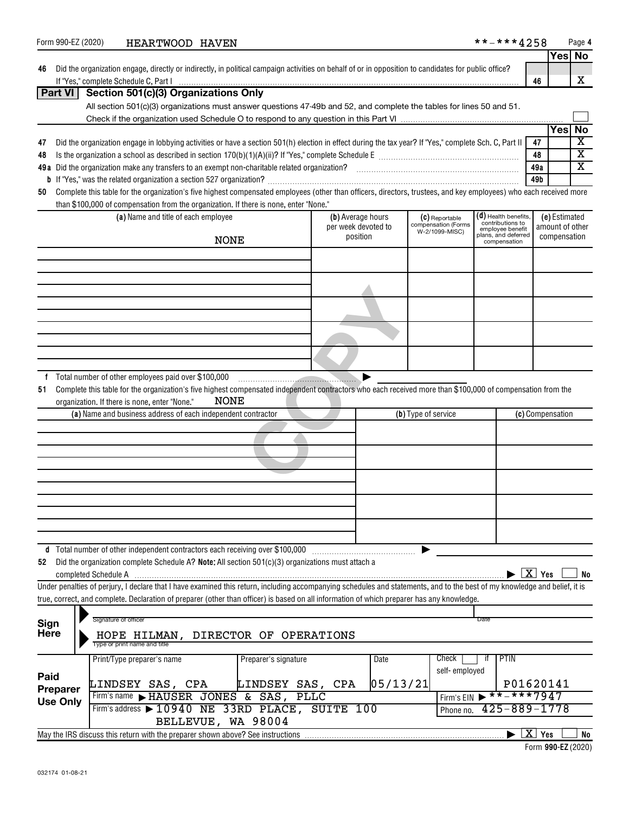| Form 990-EZ (2020)                 |  |                              | HEARTWOOD HAVEN                                     |             |                                                                                                                                                                            |                                 |          |                     |                                       | **-***4258                                   |                  |                    |               | Page 4                  |
|------------------------------------|--|------------------------------|-----------------------------------------------------|-------------|----------------------------------------------------------------------------------------------------------------------------------------------------------------------------|---------------------------------|----------|---------------------|---------------------------------------|----------------------------------------------|------------------|--------------------|---------------|-------------------------|
|                                    |  |                              |                                                     |             |                                                                                                                                                                            |                                 |          |                     |                                       |                                              |                  |                    |               | Yes No                  |
| 46                                 |  |                              |                                                     |             | Did the organization engage, directly or indirectly, in political campaign activities on behalf of or in opposition to candidates for public office?                       |                                 |          |                     |                                       |                                              |                  |                    |               |                         |
|                                    |  |                              |                                                     |             |                                                                                                                                                                            |                                 |          |                     |                                       |                                              |                  | 46                 |               | X                       |
| <b>Part VI</b>                     |  |                              | Section 501(c)(3) Organizations Only                |             |                                                                                                                                                                            |                                 |          |                     |                                       |                                              |                  |                    |               |                         |
|                                    |  |                              |                                                     |             | All section 501(c)(3) organizations must answer questions 47-49b and 52, and complete the tables for lines 50 and 51.                                                      |                                 |          |                     |                                       |                                              |                  |                    |               |                         |
|                                    |  |                              |                                                     |             |                                                                                                                                                                            |                                 |          |                     |                                       |                                              |                  |                    | Yesl          | <b>No</b>               |
| 47                                 |  |                              |                                                     |             | Did the organization engage in lobbying activities or have a section 501(h) election in effect during the tax year? If "Yes," complete Sch. C, Part II                     |                                 |          |                     |                                       |                                              |                  | 47                 |               | $\overline{\textbf{x}}$ |
| 48                                 |  |                              |                                                     |             |                                                                                                                                                                            |                                 |          |                     |                                       |                                              | 48               |                    |               | $\overline{\mathtt{x}}$ |
|                                    |  |                              |                                                     |             |                                                                                                                                                                            |                                 |          |                     |                                       |                                              | 49a              |                    |               | $\overline{\mathtt{x}}$ |
|                                    |  |                              |                                                     |             |                                                                                                                                                                            |                                 |          |                     |                                       |                                              | 49b              |                    |               |                         |
| 50                                 |  |                              |                                                     |             | Complete this table for the organization's five highest compensated employees (other than officers, directors, trustees, and key employees) who each received more         |                                 |          |                     |                                       |                                              |                  |                    |               |                         |
|                                    |  |                              |                                                     |             | than \$100,000 of compensation from the organization. If there is none, enter "None."                                                                                      |                                 |          |                     |                                       |                                              |                  |                    |               |                         |
|                                    |  |                              | (a) Name and title of each employee                 |             |                                                                                                                                                                            | (b) Average hours               |          |                     | (C) Reportable                        | $(d)$ Health benefits,<br>contributions to   |                  |                    | (e) Estimated |                         |
|                                    |  |                              |                                                     |             |                                                                                                                                                                            | per week devoted to<br>position |          |                     | compensation (Forms<br>W-2/1099-MISC) | employee benefit<br>plans, and deferred      |                  | compensation       |               | amount of other         |
|                                    |  |                              |                                                     | <b>NONE</b> |                                                                                                                                                                            |                                 |          |                     |                                       | compensation                                 |                  |                    |               |                         |
|                                    |  |                              |                                                     |             |                                                                                                                                                                            |                                 |          |                     |                                       |                                              |                  |                    |               |                         |
|                                    |  |                              |                                                     |             |                                                                                                                                                                            |                                 |          |                     |                                       |                                              |                  |                    |               |                         |
|                                    |  |                              |                                                     |             |                                                                                                                                                                            |                                 |          |                     |                                       |                                              |                  |                    |               |                         |
|                                    |  |                              |                                                     |             |                                                                                                                                                                            |                                 |          |                     |                                       |                                              |                  |                    |               |                         |
|                                    |  |                              |                                                     |             |                                                                                                                                                                            |                                 |          |                     |                                       |                                              |                  |                    |               |                         |
|                                    |  |                              |                                                     |             |                                                                                                                                                                            |                                 |          |                     |                                       |                                              |                  |                    |               |                         |
|                                    |  |                              |                                                     |             |                                                                                                                                                                            |                                 |          |                     |                                       |                                              |                  |                    |               |                         |
|                                    |  |                              |                                                     |             |                                                                                                                                                                            |                                 |          |                     |                                       |                                              |                  |                    |               |                         |
|                                    |  |                              |                                                     |             |                                                                                                                                                                            |                                 |          |                     |                                       |                                              |                  |                    |               |                         |
| f                                  |  |                              | Total number of other employees paid over \$100,000 |             |                                                                                                                                                                            |                                 |          |                     |                                       |                                              |                  |                    |               |                         |
| 51                                 |  |                              |                                                     |             | Complete this table for the organization's five highest compensated independent contractors who each received more than \$100,000 of compensation from the                 |                                 |          |                     |                                       |                                              |                  |                    |               |                         |
|                                    |  |                              | organization. If there is none, enter "None."       | NONE        |                                                                                                                                                                            |                                 |          |                     |                                       |                                              |                  |                    |               |                         |
|                                    |  |                              |                                                     |             | (a) Name and business address of each independent contractor                                                                                                               |                                 |          | (b) Type of service |                                       |                                              | (c) Compensation |                    |               |                         |
|                                    |  |                              |                                                     |             |                                                                                                                                                                            |                                 |          |                     |                                       |                                              |                  |                    |               |                         |
|                                    |  |                              |                                                     |             |                                                                                                                                                                            |                                 |          |                     |                                       |                                              |                  |                    |               |                         |
|                                    |  |                              |                                                     |             |                                                                                                                                                                            |                                 |          |                     |                                       |                                              |                  |                    |               |                         |
|                                    |  |                              |                                                     |             |                                                                                                                                                                            |                                 |          |                     |                                       |                                              |                  |                    |               |                         |
|                                    |  |                              |                                                     |             |                                                                                                                                                                            |                                 |          |                     |                                       |                                              |                  |                    |               |                         |
|                                    |  |                              |                                                     |             |                                                                                                                                                                            |                                 |          |                     |                                       |                                              |                  |                    |               |                         |
|                                    |  |                              |                                                     |             |                                                                                                                                                                            |                                 |          |                     |                                       |                                              |                  |                    |               |                         |
|                                    |  |                              |                                                     |             |                                                                                                                                                                            |                                 |          |                     |                                       |                                              |                  |                    |               |                         |
|                                    |  |                              |                                                     |             |                                                                                                                                                                            |                                 |          |                     |                                       |                                              |                  |                    |               |                         |
|                                    |  |                              |                                                     |             | d Total number of other independent contractors each receiving over \$100,000                                                                                              |                                 |          |                     |                                       |                                              |                  |                    |               |                         |
| 52                                 |  |                              |                                                     |             | Did the organization complete Schedule A? Note: All section 501(c)(3) organizations must attach a                                                                          |                                 |          |                     |                                       |                                              |                  |                    |               |                         |
|                                    |  |                              |                                                     |             |                                                                                                                                                                            |                                 |          |                     |                                       |                                              |                  | $\overline{X}$ Yes |               | No                      |
|                                    |  |                              |                                                     |             | Under penalties of perjury, I declare that I have examined this return, including accompanying schedules and statements, and to the best of my knowledge and belief, it is |                                 |          |                     |                                       |                                              |                  |                    |               |                         |
|                                    |  |                              |                                                     |             | true, correct, and complete. Declaration of preparer (other than officer) is based on all information of which preparer has any knowledge.                                 |                                 |          |                     |                                       |                                              |                  |                    |               |                         |
| Sign                               |  | Signature of officer         |                                                     |             |                                                                                                                                                                            |                                 |          |                     |                                       | Date                                         |                  |                    |               |                         |
| <b>Here</b>                        |  |                              |                                                     |             | HOPE HILMAN, DIRECTOR OF OPERATIONS                                                                                                                                        |                                 |          |                     |                                       |                                              |                  |                    |               |                         |
|                                    |  | Type or print name and title |                                                     |             |                                                                                                                                                                            |                                 |          |                     |                                       |                                              |                  |                    |               |                         |
|                                    |  |                              | Print/Type preparer's name                          |             | Preparer's signature                                                                                                                                                       |                                 | Date     |                     | Check                                 | PTIN<br>it.                                  |                  |                    |               |                         |
|                                    |  |                              |                                                     |             |                                                                                                                                                                            |                                 |          |                     | self-employed                         |                                              |                  |                    |               |                         |
| Paid                               |  |                              | LINDSEY SAS, CPA                                    |             | LINDSEY SAS, CPA                                                                                                                                                           |                                 | 05/13/21 |                     |                                       |                                              | P01620141        |                    |               |                         |
| <b>Preparer</b><br><b>Use Only</b> |  |                              |                                                     |             | Firm's name FHAUSER JONES & SAS, PLLC                                                                                                                                      |                                 |          |                     |                                       | Firm's EIN $\triangleright$ * * - * * * 7947 |                  |                    |               |                         |
|                                    |  |                              |                                                     |             | Firm's address > 10940 NE 33RD PLACE, SUITE 100                                                                                                                            |                                 |          |                     | Phone no.                             | $425 - 889 - 1778$                           |                  |                    |               |                         |
|                                    |  |                              |                                                     |             | BELLEVUE, WA 98004                                                                                                                                                         |                                 |          |                     |                                       |                                              |                  |                    |               |                         |
|                                    |  |                              |                                                     |             | May the IRS discuss this return with the preparer shown above? See instructions                                                                                            |                                 |          |                     |                                       |                                              |                  | $\overline{X}$ Yes |               | No                      |
|                                    |  |                              |                                                     |             |                                                                                                                                                                            |                                 |          |                     |                                       |                                              |                  |                    |               | Form 990-EZ (2020)      |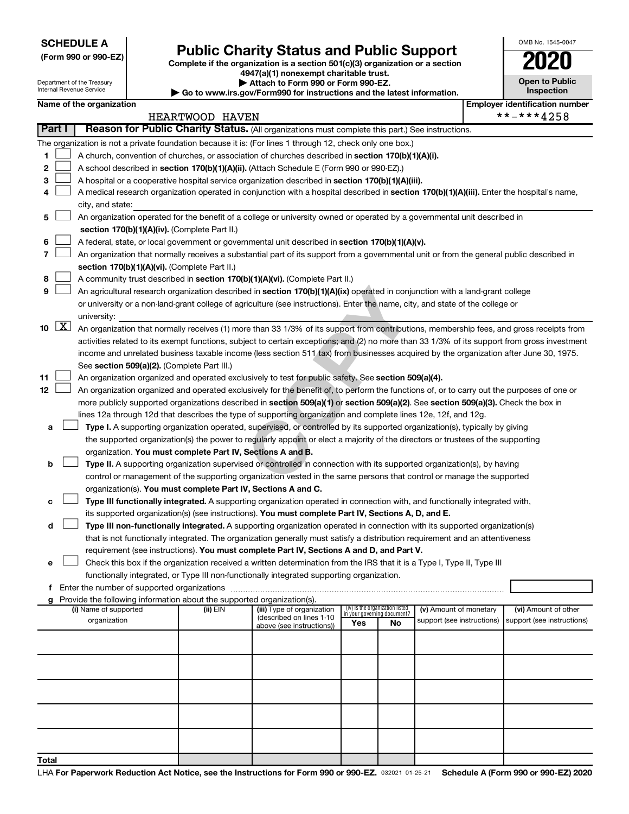**SCHEDULE A**

Department of the Treasury Internal Revenue Service

|  |  | (Form 990 or 990-EZ) |
|--|--|----------------------|
|--|--|----------------------|

### **(Form 990 or 990-EZ) Complete if the organization is a section 501(c)(3) organization or a section Public Charity Status and Public Support 2020**

**4947(a)(1) nonexempt charitable trust. | Attach to Form 990 or Form 990-EZ.** 

**| Go to www.irs.gov/Form990 for instructions and the latest information.**

| <b>Open to Public</b><br>Inspection |
|-------------------------------------|
|                                     |

OMB No. 1545-0047

| Name of the organization |  |
|--------------------------|--|
|--------------------------|--|

| Name of the organization                                                                                                                                                             |                                                                                                                                                                                                                                                 |                            |                                    |            |                                                      |  | <b>Employer identification number</b>              |  |  |  |  |  |
|--------------------------------------------------------------------------------------------------------------------------------------------------------------------------------------|-------------------------------------------------------------------------------------------------------------------------------------------------------------------------------------------------------------------------------------------------|----------------------------|------------------------------------|------------|------------------------------------------------------|--|----------------------------------------------------|--|--|--|--|--|
|                                                                                                                                                                                      | HEARTWOOD HAVEN                                                                                                                                                                                                                                 |                            |                                    | **-***4258 |                                                      |  |                                                    |  |  |  |  |  |
| Part I<br>Reason for Public Charity Status. (All organizations must complete this part.) See instructions.                                                                           |                                                                                                                                                                                                                                                 |                            |                                    |            |                                                      |  |                                                    |  |  |  |  |  |
| The organization is not a private foundation because it is: (For lines 1 through 12, check only one box.)                                                                            |                                                                                                                                                                                                                                                 |                            |                                    |            |                                                      |  |                                                    |  |  |  |  |  |
| 1                                                                                                                                                                                    | A church, convention of churches, or association of churches described in section 170(b)(1)(A)(i).                                                                                                                                              |                            |                                    |            |                                                      |  |                                                    |  |  |  |  |  |
| 2                                                                                                                                                                                    | A school described in section 170(b)(1)(A)(ii). (Attach Schedule E (Form 990 or 990-EZ).)                                                                                                                                                       |                            |                                    |            |                                                      |  |                                                    |  |  |  |  |  |
| 3                                                                                                                                                                                    | A hospital or a cooperative hospital service organization described in section 170(b)(1)(A)(iii).<br>A medical research organization operated in conjunction with a hospital described in section 170(b)(1)(A)(iii). Enter the hospital's name, |                            |                                    |            |                                                      |  |                                                    |  |  |  |  |  |
| 4                                                                                                                                                                                    |                                                                                                                                                                                                                                                 |                            |                                    |            |                                                      |  |                                                    |  |  |  |  |  |
| city, and state:                                                                                                                                                                     |                                                                                                                                                                                                                                                 |                            |                                    |            |                                                      |  |                                                    |  |  |  |  |  |
| An organization operated for the benefit of a college or university owned or operated by a governmental unit described in<br>5                                                       |                                                                                                                                                                                                                                                 |                            |                                    |            |                                                      |  |                                                    |  |  |  |  |  |
|                                                                                                                                                                                      | section 170(b)(1)(A)(iv). (Complete Part II.)                                                                                                                                                                                                   |                            |                                    |            |                                                      |  |                                                    |  |  |  |  |  |
| 6                                                                                                                                                                                    | A federal, state, or local government or governmental unit described in section 170(b)(1)(A)(v).                                                                                                                                                |                            |                                    |            |                                                      |  |                                                    |  |  |  |  |  |
| 7                                                                                                                                                                                    | An organization that normally receives a substantial part of its support from a governmental unit or from the general public described in                                                                                                       |                            |                                    |            |                                                      |  |                                                    |  |  |  |  |  |
| section 170(b)(1)(A)(vi). (Complete Part II.)                                                                                                                                        |                                                                                                                                                                                                                                                 |                            |                                    |            |                                                      |  |                                                    |  |  |  |  |  |
| A community trust described in section 170(b)(1)(A)(vi). (Complete Part II.)<br>8                                                                                                    |                                                                                                                                                                                                                                                 |                            |                                    |            |                                                      |  |                                                    |  |  |  |  |  |
| An agricultural research organization described in section 170(b)(1)(A)(ix) operated in conjunction with a land-grant college<br>9                                                   |                                                                                                                                                                                                                                                 |                            |                                    |            |                                                      |  |                                                    |  |  |  |  |  |
| or university or a non-land-grant college of agriculture (see instructions). Enter the name, city, and state of the college or                                                       |                                                                                                                                                                                                                                                 |                            |                                    |            |                                                      |  |                                                    |  |  |  |  |  |
| university:<br>$\boxed{\text{X}}$<br>10                                                                                                                                              |                                                                                                                                                                                                                                                 |                            |                                    |            |                                                      |  |                                                    |  |  |  |  |  |
| An organization that normally receives (1) more than 33 1/3% of its support from contributions, membership fees, and gross receipts from                                             |                                                                                                                                                                                                                                                 |                            |                                    |            |                                                      |  |                                                    |  |  |  |  |  |
| activities related to its exempt functions, subject to certain exceptions; and (2) no more than 33 1/3% of its support from gross investment                                         |                                                                                                                                                                                                                                                 |                            |                                    |            |                                                      |  |                                                    |  |  |  |  |  |
| income and unrelated business taxable income (less section 511 tax) from businesses acquired by the organization after June 30, 1975.<br>See section 509(a)(2). (Complete Part III.) |                                                                                                                                                                                                                                                 |                            |                                    |            |                                                      |  |                                                    |  |  |  |  |  |
| 11<br>An organization organized and operated exclusively to test for public safety. See section 509(a)(4).                                                                           |                                                                                                                                                                                                                                                 |                            |                                    |            |                                                      |  |                                                    |  |  |  |  |  |
| 12<br>An organization organized and operated exclusively for the benefit of, to perform the functions of, or to carry out the purposes of one or                                     |                                                                                                                                                                                                                                                 |                            |                                    |            |                                                      |  |                                                    |  |  |  |  |  |
| more publicly supported organizations described in section 509(a)(1) or section 509(a)(2). See section 509(a)(3). Check the box in                                                   |                                                                                                                                                                                                                                                 |                            |                                    |            |                                                      |  |                                                    |  |  |  |  |  |
| lines 12a through 12d that describes the type of supporting organization and complete lines 12e, 12f, and 12g.                                                                       |                                                                                                                                                                                                                                                 |                            |                                    |            |                                                      |  |                                                    |  |  |  |  |  |
| Type I. A supporting organization operated, supervised, or controlled by its supported organization(s), typically by giving<br>а                                                     |                                                                                                                                                                                                                                                 |                            |                                    |            |                                                      |  |                                                    |  |  |  |  |  |
| the supported organization(s) the power to regularly appoint or elect a majority of the directors or trustees of the supporting                                                      |                                                                                                                                                                                                                                                 |                            |                                    |            |                                                      |  |                                                    |  |  |  |  |  |
| organization. You must complete Part IV, Sections A and B.                                                                                                                           |                                                                                                                                                                                                                                                 |                            |                                    |            |                                                      |  |                                                    |  |  |  |  |  |
| Type II. A supporting organization supervised or controlled in connection with its supported organization(s), by having<br>b                                                         |                                                                                                                                                                                                                                                 |                            |                                    |            |                                                      |  |                                                    |  |  |  |  |  |
| control or management of the supporting organization vested in the same persons that control or manage the supported                                                                 |                                                                                                                                                                                                                                                 |                            |                                    |            |                                                      |  |                                                    |  |  |  |  |  |
| organization(s). You must complete Part IV, Sections A and C.                                                                                                                        |                                                                                                                                                                                                                                                 |                            |                                    |            |                                                      |  |                                                    |  |  |  |  |  |
| Type III functionally integrated. A supporting organization operated in connection with, and functionally integrated with,<br>с                                                      |                                                                                                                                                                                                                                                 |                            |                                    |            |                                                      |  |                                                    |  |  |  |  |  |
| its supported organization(s) (see instructions). You must complete Part IV, Sections A, D, and E.                                                                                   |                                                                                                                                                                                                                                                 |                            |                                    |            |                                                      |  |                                                    |  |  |  |  |  |
| Type III non-functionally integrated. A supporting organization operated in connection with its supported organization(s)<br>d                                                       |                                                                                                                                                                                                                                                 |                            |                                    |            |                                                      |  |                                                    |  |  |  |  |  |
| that is not functionally integrated. The organization generally must satisfy a distribution requirement and an attentiveness                                                         |                                                                                                                                                                                                                                                 |                            |                                    |            |                                                      |  |                                                    |  |  |  |  |  |
| requirement (see instructions). You must complete Part IV, Sections A and D, and Part V.                                                                                             |                                                                                                                                                                                                                                                 |                            |                                    |            |                                                      |  |                                                    |  |  |  |  |  |
| Check this box if the organization received a written determination from the IRS that it is a Type I, Type II, Type III                                                              |                                                                                                                                                                                                                                                 |                            |                                    |            |                                                      |  |                                                    |  |  |  |  |  |
| functionally integrated, or Type III non-functionally integrated supporting organization.                                                                                            |                                                                                                                                                                                                                                                 |                            |                                    |            |                                                      |  |                                                    |  |  |  |  |  |
| Enter the number of supported organizations<br>f                                                                                                                                     |                                                                                                                                                                                                                                                 |                            |                                    |            |                                                      |  |                                                    |  |  |  |  |  |
| g Provide the following information about the supported organization(s).                                                                                                             | (ii) EIN                                                                                                                                                                                                                                        | (iii) Type of organization | (iv) Is the organization listed    |            |                                                      |  |                                                    |  |  |  |  |  |
| (i) Name of supported<br>organization                                                                                                                                                |                                                                                                                                                                                                                                                 | (described on lines 1-10   | in your governing document?<br>Yes |            | (v) Amount of monetary<br>support (see instructions) |  | (vi) Amount of other<br>support (see instructions) |  |  |  |  |  |
|                                                                                                                                                                                      |                                                                                                                                                                                                                                                 | above (see instructions))  |                                    | No         |                                                      |  |                                                    |  |  |  |  |  |
|                                                                                                                                                                                      |                                                                                                                                                                                                                                                 |                            |                                    |            |                                                      |  |                                                    |  |  |  |  |  |
|                                                                                                                                                                                      |                                                                                                                                                                                                                                                 |                            |                                    |            |                                                      |  |                                                    |  |  |  |  |  |
|                                                                                                                                                                                      |                                                                                                                                                                                                                                                 |                            |                                    |            |                                                      |  |                                                    |  |  |  |  |  |
|                                                                                                                                                                                      |                                                                                                                                                                                                                                                 |                            |                                    |            |                                                      |  |                                                    |  |  |  |  |  |
|                                                                                                                                                                                      |                                                                                                                                                                                                                                                 |                            |                                    |            |                                                      |  |                                                    |  |  |  |  |  |
|                                                                                                                                                                                      |                                                                                                                                                                                                                                                 |                            |                                    |            |                                                      |  |                                                    |  |  |  |  |  |
| Total                                                                                                                                                                                |                                                                                                                                                                                                                                                 |                            |                                    |            |                                                      |  |                                                    |  |  |  |  |  |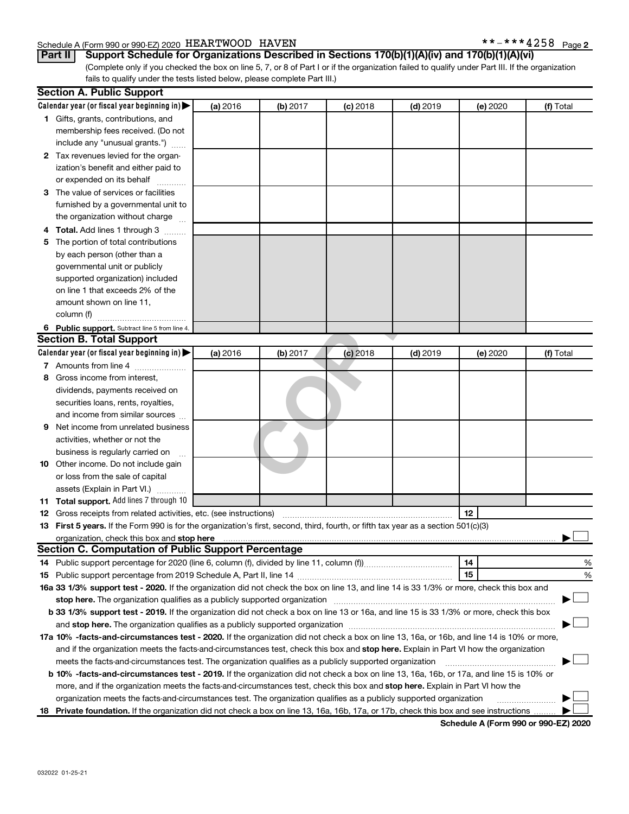#### Schedule A (Form 990 or 990-EZ) 2020 Page *HEARTWOOD HAVEN \*\*-\*\*\*4258*

(Complete only if you checked the box on line 5, 7, or 8 of Part I or if the organization failed to qualify under Part III. If the organization **Part II Support Schedule for Organizations Described in Sections 170(b)(1)(A)(iv) and 170(b)(1)(A)(vi)**

fails to qualify under the tests listed below, please complete Part III.)

|     | <b>Section A. Public Support</b>                                                                                                                                                                                                                                   |          |          |            |                 |          |           |
|-----|--------------------------------------------------------------------------------------------------------------------------------------------------------------------------------------------------------------------------------------------------------------------|----------|----------|------------|-----------------|----------|-----------|
|     | Calendar year (or fiscal year beginning in) $\blacktriangleright$                                                                                                                                                                                                  | (a) 2016 | (b) 2017 | $(c)$ 2018 | <b>(d)</b> 2019 | (e) 2020 | (f) Total |
|     | 1 Gifts, grants, contributions, and                                                                                                                                                                                                                                |          |          |            |                 |          |           |
|     | membership fees received. (Do not                                                                                                                                                                                                                                  |          |          |            |                 |          |           |
|     | include any "unusual grants.")                                                                                                                                                                                                                                     |          |          |            |                 |          |           |
|     | 2 Tax revenues levied for the organ-                                                                                                                                                                                                                               |          |          |            |                 |          |           |
|     | ization's benefit and either paid to                                                                                                                                                                                                                               |          |          |            |                 |          |           |
|     | or expended on its behalf                                                                                                                                                                                                                                          |          |          |            |                 |          |           |
|     | 3 The value of services or facilities                                                                                                                                                                                                                              |          |          |            |                 |          |           |
|     | furnished by a governmental unit to                                                                                                                                                                                                                                |          |          |            |                 |          |           |
|     | the organization without charge                                                                                                                                                                                                                                    |          |          |            |                 |          |           |
|     | <b>Total.</b> Add lines 1 through 3                                                                                                                                                                                                                                |          |          |            |                 |          |           |
| 5   | The portion of total contributions                                                                                                                                                                                                                                 |          |          |            |                 |          |           |
|     | by each person (other than a                                                                                                                                                                                                                                       |          |          |            |                 |          |           |
|     | governmental unit or publicly                                                                                                                                                                                                                                      |          |          |            |                 |          |           |
|     | supported organization) included                                                                                                                                                                                                                                   |          |          |            |                 |          |           |
|     | on line 1 that exceeds 2% of the                                                                                                                                                                                                                                   |          |          |            |                 |          |           |
|     | amount shown on line 11,                                                                                                                                                                                                                                           |          |          |            |                 |          |           |
|     | column (f)                                                                                                                                                                                                                                                         |          |          |            |                 |          |           |
|     | 6 Public support. Subtract line 5 from line 4.                                                                                                                                                                                                                     |          |          |            |                 |          |           |
|     | <b>Section B. Total Support</b>                                                                                                                                                                                                                                    |          |          |            |                 |          |           |
|     | Calendar year (or fiscal year beginning in)                                                                                                                                                                                                                        | (a) 2016 | (b) 2017 | (c) 2018   | $(d)$ 2019      | (e) 2020 | (f) Total |
|     | 7 Amounts from line 4                                                                                                                                                                                                                                              |          |          |            |                 |          |           |
| 8   | Gross income from interest,                                                                                                                                                                                                                                        |          |          |            |                 |          |           |
|     | dividends, payments received on                                                                                                                                                                                                                                    |          |          |            |                 |          |           |
|     | securities loans, rents, royalties,                                                                                                                                                                                                                                |          |          |            |                 |          |           |
|     | and income from similar sources                                                                                                                                                                                                                                    |          |          |            |                 |          |           |
| 9   | Net income from unrelated business                                                                                                                                                                                                                                 |          |          |            |                 |          |           |
|     | activities, whether or not the                                                                                                                                                                                                                                     |          |          |            |                 |          |           |
|     | business is regularly carried on                                                                                                                                                                                                                                   |          |          |            |                 |          |           |
| 10  | Other income. Do not include gain                                                                                                                                                                                                                                  |          |          |            |                 |          |           |
|     | or loss from the sale of capital                                                                                                                                                                                                                                   |          |          |            |                 |          |           |
|     | assets (Explain in Part VI.)                                                                                                                                                                                                                                       |          |          |            |                 |          |           |
| 11. | <b>Total support.</b> Add lines 7 through 10                                                                                                                                                                                                                       |          |          |            |                 |          |           |
| 12  | Gross receipts from related activities, etc. (see instructions)                                                                                                                                                                                                    |          |          |            |                 | 12       |           |
| 13  | First 5 years. If the Form 990 is for the organization's first, second, third, fourth, or fifth tax year as a section 501(c)(3)                                                                                                                                    |          |          |            |                 |          |           |
|     | organization, check this box and stop here                                                                                                                                                                                                                         |          |          |            |                 |          |           |
|     | <b>Section C. Computation of Public Support Percentage</b>                                                                                                                                                                                                         |          |          |            |                 |          |           |
|     |                                                                                                                                                                                                                                                                    |          |          |            |                 | 14       | %         |
|     |                                                                                                                                                                                                                                                                    |          |          |            |                 | 15       | %         |
|     | 16a 33 1/3% support test - 2020. If the organization did not check the box on line 13, and line 14 is 33 1/3% or more, check this box and                                                                                                                          |          |          |            |                 |          |           |
|     | stop here. The organization qualifies as a publicly supported organization manufaction manufacture or the organization<br>b 33 1/3% support test - 2019. If the organization did not check a box on line 13 or 16a, and line 15 is 33 1/3% or more, check this box |          |          |            |                 |          |           |
|     |                                                                                                                                                                                                                                                                    |          |          |            |                 |          |           |
|     | 17a 10% -facts-and-circumstances test - 2020. If the organization did not check a box on line 13, 16a, or 16b, and line 14 is 10% or more,                                                                                                                         |          |          |            |                 |          |           |
|     | and if the organization meets the facts-and-circumstances test, check this box and stop here. Explain in Part VI how the organization                                                                                                                              |          |          |            |                 |          |           |
|     | meets the facts-and-circumstances test. The organization qualifies as a publicly supported organization                                                                                                                                                            |          |          |            |                 |          |           |
|     | b 10% -facts-and-circumstances test - 2019. If the organization did not check a box on line 13, 16a, 16b, or 17a, and line 15 is 10% or                                                                                                                            |          |          |            |                 |          |           |
|     | more, and if the organization meets the facts-and-circumstances test, check this box and stop here. Explain in Part VI how the                                                                                                                                     |          |          |            |                 |          |           |
|     | organization meets the facts-and-circumstances test. The organization qualifies as a publicly supported organization                                                                                                                                               |          |          |            |                 |          |           |
| 18. | Private foundation. If the organization did not check a box on line 13, 16a, 16b, 17a, or 17b, check this box and see instructions                                                                                                                                 |          |          |            |                 |          |           |
|     |                                                                                                                                                                                                                                                                    |          |          |            |                 |          |           |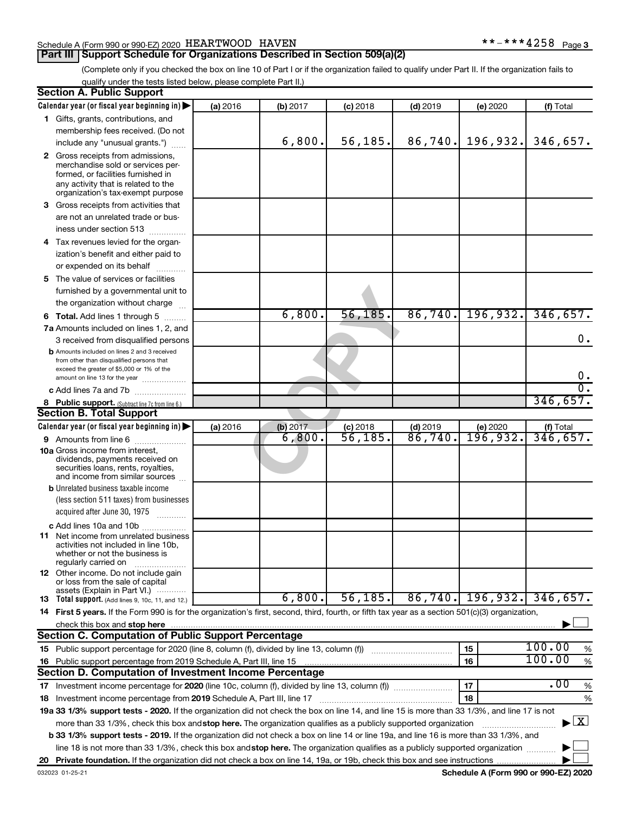#### Schedule A (Form 990 or 990-EZ) 2020 HEARTWOOD HAVEN **\*\*-\*\*\*4258** Page

#### **Part III Support Schedule for Organizations Described in Section 509(a)(2)**

 $***$   $***$  4258 Page 3

(Complete only if you checked the box on line 10 of Part I or if the organization failed to qualify under Part II. If the organization fails to qualify under the tests listed below, please complete Part II.)

| <b>Section A. Public Support</b>                                                                                                                 |          |          |                                   |                                  |                             |                                          |
|--------------------------------------------------------------------------------------------------------------------------------------------------|----------|----------|-----------------------------------|----------------------------------|-----------------------------|------------------------------------------|
| Calendar year (or fiscal year beginning in)                                                                                                      | (a) 2016 | (b) 2017 | $(c)$ 2018                        | $(d)$ 2019                       | (e) 2020                    | (f) Total                                |
| 1 Gifts, grants, contributions, and                                                                                                              |          |          |                                   |                                  |                             |                                          |
| membership fees received. (Do not                                                                                                                |          |          |                                   |                                  |                             |                                          |
| include any "unusual grants.")                                                                                                                   |          | 6,800.   | 56, 185.                          | 86,740.                          | 196,932.                    | 346,657.                                 |
| 2 Gross receipts from admissions,                                                                                                                |          |          |                                   |                                  |                             |                                          |
| merchandise sold or services per-                                                                                                                |          |          |                                   |                                  |                             |                                          |
| formed, or facilities furnished in                                                                                                               |          |          |                                   |                                  |                             |                                          |
| any activity that is related to the<br>organization's tax-exempt purpose                                                                         |          |          |                                   |                                  |                             |                                          |
| 3 Gross receipts from activities that                                                                                                            |          |          |                                   |                                  |                             |                                          |
| are not an unrelated trade or bus-                                                                                                               |          |          |                                   |                                  |                             |                                          |
| iness under section 513                                                                                                                          |          |          |                                   |                                  |                             |                                          |
| 4 Tax revenues levied for the organ-                                                                                                             |          |          |                                   |                                  |                             |                                          |
| ization's benefit and either paid to                                                                                                             |          |          |                                   |                                  |                             |                                          |
| or expended on its behalf                                                                                                                        |          |          |                                   |                                  |                             |                                          |
| 5 The value of services or facilities                                                                                                            |          |          |                                   |                                  |                             |                                          |
| furnished by a governmental unit to                                                                                                              |          |          |                                   |                                  |                             |                                          |
| the organization without charge                                                                                                                  |          |          |                                   |                                  |                             |                                          |
|                                                                                                                                                  |          | 6,800.   | 56, 185.                          | 86,740.                          | 196,932.                    | 346,657.                                 |
| <b>6 Total.</b> Add lines 1 through 5                                                                                                            |          |          |                                   |                                  |                             |                                          |
| 7a Amounts included on lines 1, 2, and                                                                                                           |          |          |                                   |                                  |                             | 0.                                       |
| 3 received from disqualified persons<br><b>b</b> Amounts included on lines 2 and 3 received                                                      |          |          |                                   |                                  |                             |                                          |
| from other than disqualified persons that                                                                                                        |          |          |                                   |                                  |                             |                                          |
| exceed the greater of \$5,000 or 1% of the                                                                                                       |          |          |                                   |                                  |                             |                                          |
| amount on line 13 for the year                                                                                                                   |          |          |                                   |                                  |                             | $0$ .<br>$\overline{\mathfrak{o}}$ .     |
| c Add lines 7a and 7b                                                                                                                            |          |          |                                   |                                  |                             |                                          |
| 8 Public support. (Subtract line 7c from line 6.)                                                                                                |          |          |                                   |                                  |                             | 346,657.                                 |
| <b>Section B. Total Support</b>                                                                                                                  |          |          |                                   |                                  |                             |                                          |
| Calendar year (or fiscal year beginning in)                                                                                                      | (a) 2016 | (b) 2017 | $(c)$ 2018<br>$\overline{56,185}$ | $(d)$ 2019<br>$\frac{86}{740}$ . | (e) 2020<br><u>196,932.</u> | (f) Total<br>346,657.                    |
| 9 Amounts from line 6                                                                                                                            |          | 6,800.   |                                   |                                  |                             |                                          |
| <b>10a</b> Gross income from interest,<br>dividends, payments received on                                                                        |          |          |                                   |                                  |                             |                                          |
| securities loans, rents, royalties,                                                                                                              |          |          |                                   |                                  |                             |                                          |
| and income from similar sources                                                                                                                  |          |          |                                   |                                  |                             |                                          |
| <b>b</b> Unrelated business taxable income                                                                                                       |          |          |                                   |                                  |                             |                                          |
| (less section 511 taxes) from businesses                                                                                                         |          |          |                                   |                                  |                             |                                          |
| acquired after June 30, 1975                                                                                                                     |          |          |                                   |                                  |                             |                                          |
| c Add lines 10a and 10b                                                                                                                          |          |          |                                   |                                  |                             |                                          |
| <b>11</b> Net income from unrelated business                                                                                                     |          |          |                                   |                                  |                             |                                          |
| activities not included in line 10b.<br>whether or not the business is                                                                           |          |          |                                   |                                  |                             |                                          |
| regularly carried on                                                                                                                             |          |          |                                   |                                  |                             |                                          |
| 12 Other income. Do not include gain                                                                                                             |          |          |                                   |                                  |                             |                                          |
| or loss from the sale of capital<br>assets (Explain in Part VI.)                                                                                 |          |          |                                   |                                  |                             |                                          |
| <b>13</b> Total support. (Add lines 9, 10c, 11, and 12.)                                                                                         |          | 6,800.   | 56, 185.                          | 86,740.                          | 196,932.                    | 346,657.                                 |
| 14 First 5 years. If the Form 990 is for the organization's first, second, third, fourth, or fifth tax year as a section 501(c)(3) organization, |          |          |                                   |                                  |                             |                                          |
| check this box and stop here                                                                                                                     |          |          |                                   |                                  |                             |                                          |
| <b>Section C. Computation of Public Support Percentage</b>                                                                                       |          |          |                                   |                                  |                             |                                          |
|                                                                                                                                                  |          |          |                                   |                                  | 15                          | 100.00<br>%                              |
| 16 Public support percentage from 2019 Schedule A, Part III, line 15                                                                             |          |          |                                   |                                  | 16                          | 100.00<br>$\%$                           |
| Section D. Computation of Investment Income Percentage                                                                                           |          |          |                                   |                                  |                             |                                          |
|                                                                                                                                                  |          |          |                                   |                                  | 17                          | .00<br>%                                 |
| 18 Investment income percentage from 2019 Schedule A, Part III, line 17                                                                          |          |          |                                   |                                  | 18                          | %                                        |
| 19a 33 1/3% support tests - 2020. If the organization did not check the box on line 14, and line 15 is more than 33 1/3%, and line 17 is not     |          |          |                                   |                                  |                             |                                          |
| more than 33 1/3%, check this box and stop here. The organization qualifies as a publicly supported organization                                 |          |          |                                   |                                  |                             | $\blacktriangleright$ $\boxed{\text{X}}$ |
| b 33 1/3% support tests - 2019. If the organization did not check a box on line 14 or line 19a, and line 16 is more than 33 1/3%, and            |          |          |                                   |                                  |                             |                                          |
| line 18 is not more than 33 1/3%, check this box and stop here. The organization qualifies as a publicly supported organization                  |          |          |                                   |                                  |                             |                                          |
|                                                                                                                                                  |          |          |                                   |                                  |                             |                                          |
|                                                                                                                                                  |          |          |                                   |                                  |                             |                                          |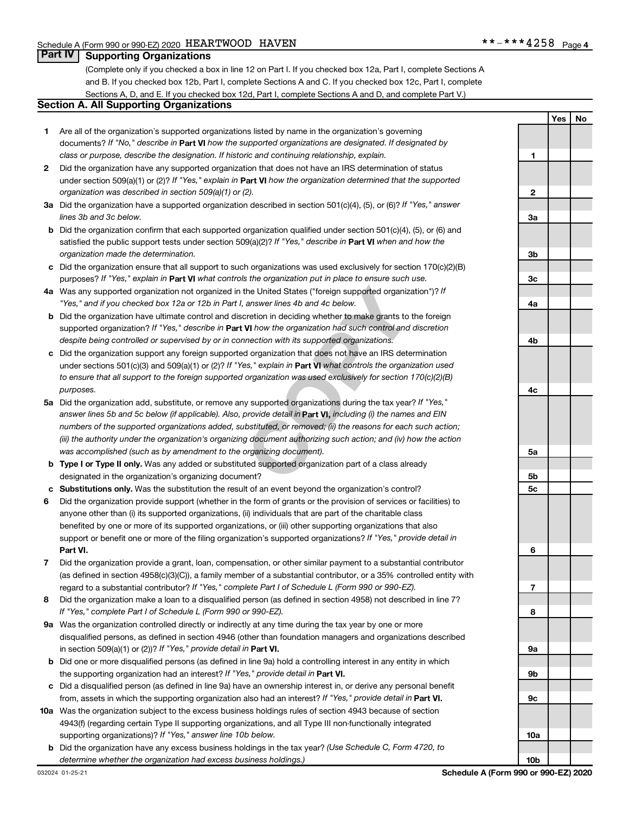#### **Part IV Supporting Organizations**

(Complete only if you checked a box in line 12 on Part I. If you checked box 12a, Part I, complete Sections A and B. If you checked box 12b, Part I, complete Sections A and C. If you checked box 12c, Part I, complete Sections A, D, and E. If you checked box 12d, Part I, complete Sections A and D, and complete Part V.)

#### **Section A. All Supporting Organizations**

- **1** Are all of the organization's supported organizations listed by name in the organization's governing documents? If "No," describe in Part VI how the supported organizations are designated. If designated by *class or purpose, describe the designation. If historic and continuing relationship, explain.*
- **2** Did the organization have any supported organization that does not have an IRS determination of status under section 509(a)(1) or (2)? If "Yes," explain in Part **VI** how the organization determined that the supported *organization was described in section 509(a)(1) or (2).*
- **3a** Did the organization have a supported organization described in section 501(c)(4), (5), or (6)? If "Yes," answer *lines 3b and 3c below.*
- **b** Did the organization confirm that each supported organization qualified under section 501(c)(4), (5), or (6) and satisfied the public support tests under section 509(a)(2)? If "Yes," describe in Part VI when and how the *organization made the determination.*
- **c** Did the organization ensure that all support to such organizations was used exclusively for section 170(c)(2)(B) purposes? If "Yes," explain in Part VI what controls the organization put in place to ensure such use.
- **4 a** *If* Was any supported organization not organized in the United States ("foreign supported organization")? *"Yes," and if you checked box 12a or 12b in Part I, answer lines 4b and 4c below.*
- **b** Did the organization have ultimate control and discretion in deciding whether to make grants to the foreign supported organization? If "Yes," describe in Part VI how the organization had such control and discretion *despite being controlled or supervised by or in connection with its supported organizations.*
- **c** Did the organization support any foreign supported organization that does not have an IRS determination under sections 501(c)(3) and 509(a)(1) or (2)? If "Yes," explain in Part VI what controls the organization used *to ensure that all support to the foreign supported organization was used exclusively for section 170(c)(2)(B) purposes.*
- the United States ("foreign supported organization")? *I*<br>answer lines 4b and 4c below.<br>Consider the foreign supported organization")? *I*<br>answer lines 4b and 4c below.<br>**VI** how the organization had such control and discre **5a** Did the organization add, substitute, or remove any supported organizations during the tax year? If "Yes," answer lines 5b and 5c below (if applicable). Also, provide detail in **Part VI,** including (i) the names and EIN *numbers of the supported organizations added, substituted, or removed; (ii) the reasons for each such action; (iii) the authority under the organization's organizing document authorizing such action; and (iv) how the action was accomplished (such as by amendment to the organizing document).*
- **b** Type I or Type II only. Was any added or substituted supported organization part of a class already designated in the organization's organizing document?
- **c Substitutions only.**  Was the substitution the result of an event beyond the organization's control?
- **6** Did the organization provide support (whether in the form of grants or the provision of services or facilities) to **Part VI.** support or benefit one or more of the filing organization's supported organizations? If "Yes," provide detail in anyone other than (i) its supported organizations, (ii) individuals that are part of the charitable class benefited by one or more of its supported organizations, or (iii) other supporting organizations that also
- **7** Did the organization provide a grant, loan, compensation, or other similar payment to a substantial contributor regard to a substantial contributor? If "Yes," complete Part I of Schedule L (Form 990 or 990-EZ). (as defined in section 4958(c)(3)(C)), a family member of a substantial contributor, or a 35% controlled entity with
- **8** Did the organization make a loan to a disqualified person (as defined in section 4958) not described in line 7? *If "Yes," complete Part I of Schedule L (Form 990 or 990-EZ).*
- **9 a** Was the organization controlled directly or indirectly at any time during the tax year by one or more in section 509(a)(1) or (2))? If "Yes," provide detail in **Part VI.** disqualified persons, as defined in section 4946 (other than foundation managers and organizations described
- **b** Did one or more disqualified persons (as defined in line 9a) hold a controlling interest in any entity in which the supporting organization had an interest? If "Yes," provide detail in Part VI.
- **c** Did a disqualified person (as defined in line 9a) have an ownership interest in, or derive any personal benefit from, assets in which the supporting organization also had an interest? If "Yes," provide detail in Part VI.
- **10 a** Was the organization subject to the excess business holdings rules of section 4943 because of section supporting organizations)? If "Yes," answer line 10b below. 4943(f) (regarding certain Type II supporting organizations, and all Type III non-functionally integrated
- **b** Did the organization have any excess business holdings in the tax year? (Use Schedule C, Form 4720, to *determine whether the organization had excess business holdings.)*

**Yes No 1 2 3a 3b 3c 4a 4b 4c 5a 5b 5c 6 7 8 9a 9b 9c 10a 10b**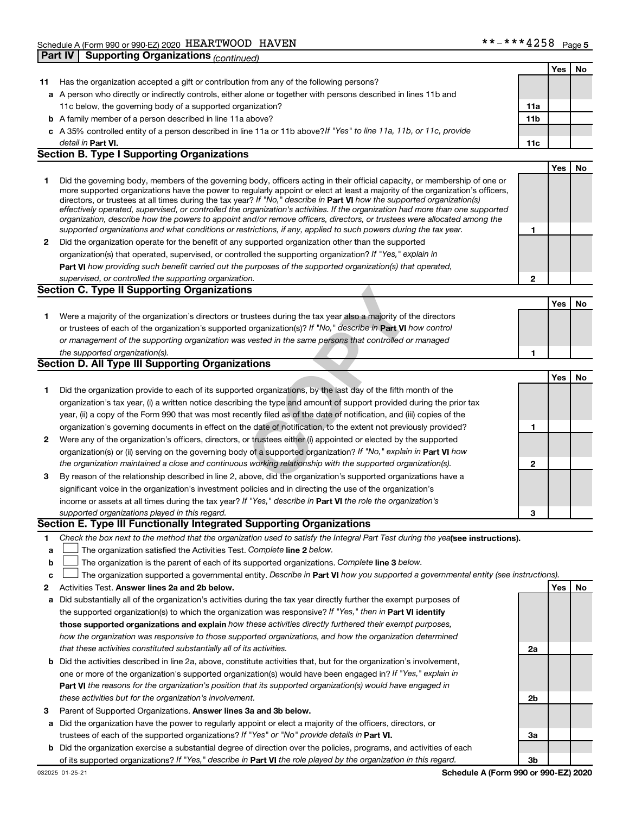|    |                                                                                                                                                                                                                                                          |     | Yes | No |
|----|----------------------------------------------------------------------------------------------------------------------------------------------------------------------------------------------------------------------------------------------------------|-----|-----|----|
| 11 | Has the organization accepted a gift or contribution from any of the following persons?                                                                                                                                                                  |     |     |    |
|    | a A person who directly or indirectly controls, either alone or together with persons described in lines 11b and                                                                                                                                         |     |     |    |
|    | 11c below, the governing body of a supported organization?                                                                                                                                                                                               | 11a |     |    |
|    | <b>b</b> A family member of a person described in line 11a above?                                                                                                                                                                                        | 11b |     |    |
|    | c A 35% controlled entity of a person described in line 11a or 11b above? If "Yes" to line 11a, 11b, or 11c, provide                                                                                                                                     |     |     |    |
|    | detail in Part VI.                                                                                                                                                                                                                                       | 11c |     |    |
|    | <b>Section B. Type I Supporting Organizations</b>                                                                                                                                                                                                        |     |     |    |
|    |                                                                                                                                                                                                                                                          |     | Yes | No |
| 1  | Did the governing body, members of the governing body, officers acting in their official capacity, or membership of one or                                                                                                                               |     |     |    |
|    | more supported organizations have the power to regularly appoint or elect at least a majority of the organization's officers,<br>directors, or trustees at all times during the tax year? If "No," describe in Part VI how the supported organization(s) |     |     |    |
|    | effectively operated, supervised, or controlled the organization's activities. If the organization had more than one supported                                                                                                                           |     |     |    |
|    | organization, describe how the powers to appoint and/or remove officers, directors, or trustees were allocated among the                                                                                                                                 |     |     |    |
|    | supported organizations and what conditions or restrictions, if any, applied to such powers during the tax year.                                                                                                                                         | 1   |     |    |
| 2  | Did the organization operate for the benefit of any supported organization other than the supported                                                                                                                                                      |     |     |    |
|    | organization(s) that operated, supervised, or controlled the supporting organization? If "Yes," explain in                                                                                                                                               |     |     |    |
|    | Part VI how providing such benefit carried out the purposes of the supported organization(s) that operated,                                                                                                                                              |     |     |    |
|    | supervised, or controlled the supporting organization.                                                                                                                                                                                                   | 2   |     |    |
|    | <b>Section C. Type II Supporting Organizations</b>                                                                                                                                                                                                       |     |     |    |
|    |                                                                                                                                                                                                                                                          |     | Yes | No |
| 1  | Were a majority of the organization's directors or trustees during the tax year also a majority of the directors                                                                                                                                         |     |     |    |
|    | or trustees of each of the organization's supported organization(s)? If "No," describe in Part VI how control                                                                                                                                            |     |     |    |
|    | or management of the supporting organization was vested in the same persons that controlled or managed                                                                                                                                                   |     |     |    |
|    | the supported organization(s).                                                                                                                                                                                                                           | 1   |     |    |
|    | Section D. All Type III Supporting Organizations                                                                                                                                                                                                         |     |     |    |
|    |                                                                                                                                                                                                                                                          |     | Yes | No |
| 1  | Did the organization provide to each of its supported organizations, by the last day of the fifth month of the                                                                                                                                           |     |     |    |
|    | organization's tax year, (i) a written notice describing the type and amount of support provided during the prior tax                                                                                                                                    |     |     |    |
|    | year, (ii) a copy of the Form 990 that was most recently filed as of the date of notification, and (iii) copies of the                                                                                                                                   |     |     |    |
|    | organization's governing documents in effect on the date of notification, to the extent not previously provided?                                                                                                                                         | 1   |     |    |
| 2  | Were any of the organization's officers, directors, or trustees either (i) appointed or elected by the supported                                                                                                                                         |     |     |    |
|    | organization(s) or (ii) serving on the governing body of a supported organization? If "No," explain in Part VI how                                                                                                                                       |     |     |    |
|    | the organization maintained a close and continuous working relationship with the supported organization(s).                                                                                                                                              | 2   |     |    |
| 3  | By reason of the relationship described in line 2, above, did the organization's supported organizations have a                                                                                                                                          |     |     |    |
|    | significant voice in the organization's investment policies and in directing the use of the organization's                                                                                                                                               |     |     |    |
|    | income or assets at all times during the tax year? If "Yes," describe in Part VI the role the organization's                                                                                                                                             |     |     |    |
|    | supported organizations played in this regard.                                                                                                                                                                                                           | 3   |     |    |
|    | Section E. Type III Functionally Integrated Supporting Organizations                                                                                                                                                                                     |     |     |    |
| 1  | Check the box next to the method that the organization used to satisfy the Integral Part Test during the yealsee instructions).                                                                                                                          |     |     |    |
| а  | The organization satisfied the Activities Test. Complete line 2 below.                                                                                                                                                                                   |     |     |    |
| b  | The organization is the parent of each of its supported organizations. Complete line 3 below.                                                                                                                                                            |     |     |    |
| с  | The organization supported a governmental entity. Describe in Part VI how you supported a governmental entity (see instructions).                                                                                                                        |     |     |    |
| 2  | Activities Test. Answer lines 2a and 2b below.                                                                                                                                                                                                           |     | Yes | No |
| а  | Did substantially all of the organization's activities during the tax year directly further the exempt purposes of                                                                                                                                       |     |     |    |
|    | the supported organization(s) to which the organization was responsive? If "Yes," then in Part VI identify                                                                                                                                               |     |     |    |
|    | those supported organizations and explain how these activities directly furthered their exempt purposes,                                                                                                                                                 |     |     |    |
|    | how the organization was responsive to those supported organizations, and how the organization determined                                                                                                                                                |     |     |    |
|    | that these activities constituted substantially all of its activities.                                                                                                                                                                                   | 2a  |     |    |
| b  | Did the activities described in line 2a, above, constitute activities that, but for the organization's involvement,                                                                                                                                      |     |     |    |
|    | one or more of the organization's supported organization(s) would have been engaged in? If "Yes," explain in                                                                                                                                             |     |     |    |
|    | <b>Part VI</b> the reasons for the organization's position that its supported organization(s) would have engaged in                                                                                                                                      |     |     |    |
|    | these activities but for the organization's involvement.                                                                                                                                                                                                 | 2b  |     |    |
| З  | Parent of Supported Organizations. Answer lines 3a and 3b below.                                                                                                                                                                                         |     |     |    |
| а  | Did the organization have the power to regularly appoint or elect a majority of the officers, directors, or                                                                                                                                              |     |     |    |
|    | trustees of each of the supported organizations? If "Yes" or "No" provide details in Part VI.<br>Did the examization exercise a substantial degree of direction ever the policies pregrams, and estivities of                                            | 3a  |     |    |

**b** Did the organization exercise a substantial degree of direction over the policies, programs, and activities of each of its supported organizations? If "Yes," describe in Part VI the role played by the organization in this regard.

**3b**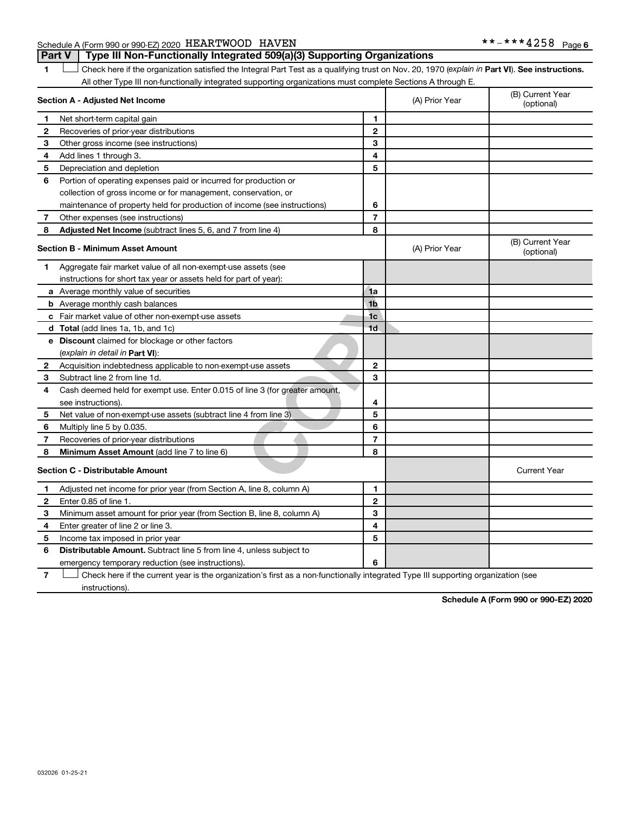Schedule A (Form 990 or 990-EZ) 2020 Page *HEARTWOOD HAVEN \*\*-\*\*\*4258***Part V Type III Non-Functionally Integrated 509(a)(3) Supporting Organizations** 

1 **D** Check here if the organization satisfied the Integral Part Test as a qualifying trust on Nov. 20, 1970 (explain in Part **VI**). See instructions. All other Type III non-functionally integrated supporting organizations must complete Sections A through E.

|              | Section A - Adjusted Net Income                                             | (A) Prior Year | (B) Current Year<br>(optional) |                                |
|--------------|-----------------------------------------------------------------------------|----------------|--------------------------------|--------------------------------|
| 1            | Net short-term capital gain                                                 | 1              |                                |                                |
| 2            | Recoveries of prior-year distributions                                      | $\overline{2}$ |                                |                                |
| З            | Other gross income (see instructions)                                       | 3              |                                |                                |
| 4            | Add lines 1 through 3.                                                      | 4              |                                |                                |
| 5            | Depreciation and depletion                                                  | 5              |                                |                                |
| 6            | Portion of operating expenses paid or incurred for production or            |                |                                |                                |
|              | collection of gross income or for management, conservation, or              |                |                                |                                |
|              | maintenance of property held for production of income (see instructions)    | 6              |                                |                                |
| 7            | Other expenses (see instructions)                                           | $\overline{7}$ |                                |                                |
| 8            | <b>Adjusted Net Income</b> (subtract lines 5, 6, and 7 from line 4)         | 8              |                                |                                |
|              | Section B - Minimum Asset Amount                                            |                | (A) Prior Year                 | (B) Current Year<br>(optional) |
| 1            | Aggregate fair market value of all non-exempt-use assets (see               |                |                                |                                |
|              | instructions for short tax year or assets held for part of year):           |                |                                |                                |
|              | a Average monthly value of securities                                       | 1a             |                                |                                |
|              | <b>b</b> Average monthly cash balances                                      | 1 <sub>b</sub> |                                |                                |
|              | c Fair market value of other non-exempt-use assets                          | 1 <sub>c</sub> |                                |                                |
|              | <b>d</b> Total (add lines 1a, 1b, and 1c)                                   | 1 <sub>d</sub> |                                |                                |
|              | e Discount claimed for blockage or other factors                            |                |                                |                                |
|              | (explain in detail in <b>Part VI</b> ):                                     |                |                                |                                |
| $\mathbf{2}$ | Acquisition indebtedness applicable to non-exempt-use assets                | $\mathbf{2}$   |                                |                                |
| 3            | Subtract line 2 from line 1d.                                               | 3              |                                |                                |
| 4            | Cash deemed held for exempt use. Enter 0.015 of line 3 (for greater amount, |                |                                |                                |
|              | see instructions).                                                          | 4              |                                |                                |
| 5            | Net value of non-exempt-use assets (subtract line 4 from line 3)            | 5              |                                |                                |
| 6            | Multiply line 5 by 0.035.                                                   | 6              |                                |                                |
| 7            | Recoveries of prior-year distributions                                      | 7              |                                |                                |
| 8            | Minimum Asset Amount (add line 7 to line 6)                                 | 8              |                                |                                |
|              | <b>Section C - Distributable Amount</b>                                     |                |                                | <b>Current Year</b>            |
| 1            | Adjusted net income for prior year (from Section A, line 8, column A)       | 1              |                                |                                |
| $\mathbf{2}$ | Enter 0.85 of line 1.                                                       | $\mathbf{2}$   |                                |                                |
| 3            | Minimum asset amount for prior year (from Section B, line 8, column A)      | 3              |                                |                                |
| 4            | Enter greater of line 2 or line 3.                                          | 4              |                                |                                |
| 5            | Income tax imposed in prior year                                            | 5              |                                |                                |
| 6            | <b>Distributable Amount.</b> Subtract line 5 from line 4, unless subject to |                |                                |                                |
|              | emergency temporary reduction (see instructions).                           | 6              |                                |                                |
|              |                                                                             |                |                                |                                |

**7** Check here if the current year is the organization's first as a non-functionally integrated Type III supporting organization (see instructions).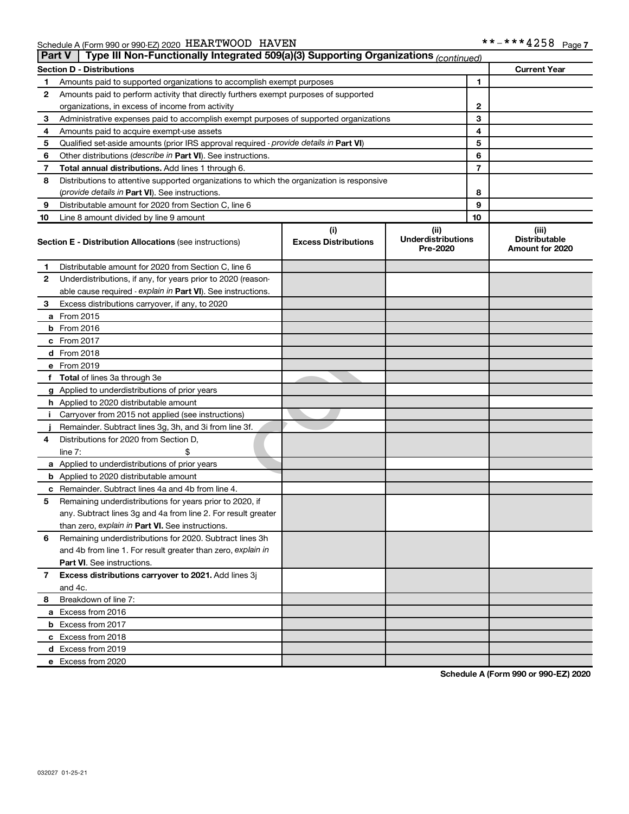| <b>Part V</b> | Type III Non-Functionally Integrated 509(a)(3) Supporting Organizations (continued)        |                                       |  |                                                |                     |
|---------------|--------------------------------------------------------------------------------------------|---------------------------------------|--|------------------------------------------------|---------------------|
|               | <b>Section D - Distributions</b>                                                           |                                       |  |                                                | <b>Current Year</b> |
| 1             | Amounts paid to supported organizations to accomplish exempt purposes                      |                                       |  | $\mathbf{1}$                                   |                     |
| 2             | Amounts paid to perform activity that directly furthers exempt purposes of supported       |                                       |  |                                                |                     |
|               | organizations, in excess of income from activity                                           | $\mathbf{2}$                          |  |                                                |                     |
| 3             | Administrative expenses paid to accomplish exempt purposes of supported organizations      | 3                                     |  |                                                |                     |
| 4             | Amounts paid to acquire exempt-use assets                                                  | 4                                     |  |                                                |                     |
| 5             | Qualified set-aside amounts (prior IRS approval required - provide details in Part VI)     | 5                                     |  |                                                |                     |
| 6             | Other distributions ( <i>describe in Part VI</i> ). See instructions.                      | 6                                     |  |                                                |                     |
| 7             | Total annual distributions. Add lines 1 through 6.                                         | 7                                     |  |                                                |                     |
| 8             | Distributions to attentive supported organizations to which the organization is responsive |                                       |  |                                                |                     |
|               | (provide details in Part VI). See instructions.                                            |                                       |  | 8                                              |                     |
| 9             | Distributable amount for 2020 from Section C, line 6                                       |                                       |  | 9                                              |                     |
| 10            | Line 8 amount divided by line 9 amount                                                     | 10                                    |  |                                                |                     |
|               |                                                                                            | (ii)                                  |  | (iii)                                          |                     |
|               | <b>Section E - Distribution Allocations (see instructions)</b>                             | <b>Underdistributions</b><br>Pre-2020 |  | <b>Distributable</b><br><b>Amount for 2020</b> |                     |
| 1             | Distributable amount for 2020 from Section C, line 6                                       |                                       |  |                                                |                     |
| 2             | Underdistributions, if any, for years prior to 2020 (reason-                               |                                       |  |                                                |                     |
|               | able cause required - explain in Part VI). See instructions.                               |                                       |  |                                                |                     |
| 3             | Excess distributions carryover, if any, to 2020                                            |                                       |  |                                                |                     |
|               | a From 2015                                                                                |                                       |  |                                                |                     |
|               | <b>b</b> From 2016                                                                         |                                       |  |                                                |                     |
|               | c From 2017                                                                                |                                       |  |                                                |                     |
|               | d From 2018                                                                                |                                       |  |                                                |                     |
|               | e From 2019                                                                                |                                       |  |                                                |                     |
|               | f Total of lines 3a through 3e                                                             |                                       |  |                                                |                     |
|               | g Applied to underdistributions of prior years                                             |                                       |  |                                                |                     |
|               | h Applied to 2020 distributable amount                                                     |                                       |  |                                                |                     |
| Ť.            | Carryover from 2015 not applied (see instructions)                                         |                                       |  |                                                |                     |
|               | Remainder. Subtract lines 3g, 3h, and 3i from line 3f.                                     |                                       |  |                                                |                     |
| 4             | Distributions for 2020 from Section D,                                                     |                                       |  |                                                |                     |
|               | line $7:$                                                                                  |                                       |  |                                                |                     |
|               | a Applied to underdistributions of prior years                                             |                                       |  |                                                |                     |
|               | <b>b</b> Applied to 2020 distributable amount                                              |                                       |  |                                                |                     |
|               | c Remainder. Subtract lines 4a and 4b from line 4.                                         |                                       |  |                                                |                     |
| 5             | Remaining underdistributions for years prior to 2020, if                                   |                                       |  |                                                |                     |
|               | any. Subtract lines 3g and 4a from line 2. For result greater                              |                                       |  |                                                |                     |
|               | than zero, explain in Part VI. See instructions.                                           |                                       |  |                                                |                     |
| 6             | Remaining underdistributions for 2020. Subtract lines 3h                                   |                                       |  |                                                |                     |
|               | and 4b from line 1. For result greater than zero, explain in                               |                                       |  |                                                |                     |
|               | <b>Part VI.</b> See instructions.                                                          |                                       |  |                                                |                     |
| 7             | Excess distributions carryover to 2021. Add lines 3j                                       |                                       |  |                                                |                     |
|               | and 4c.                                                                                    |                                       |  |                                                |                     |
| 8             | Breakdown of line 7:                                                                       |                                       |  |                                                |                     |
|               | a Excess from 2016                                                                         |                                       |  |                                                |                     |
|               | <b>b</b> Excess from 2017                                                                  |                                       |  |                                                |                     |
|               | c Excess from 2018                                                                         |                                       |  |                                                |                     |
|               | d Excess from 2019                                                                         |                                       |  |                                                |                     |
|               | e Excess from 2020                                                                         |                                       |  |                                                |                     |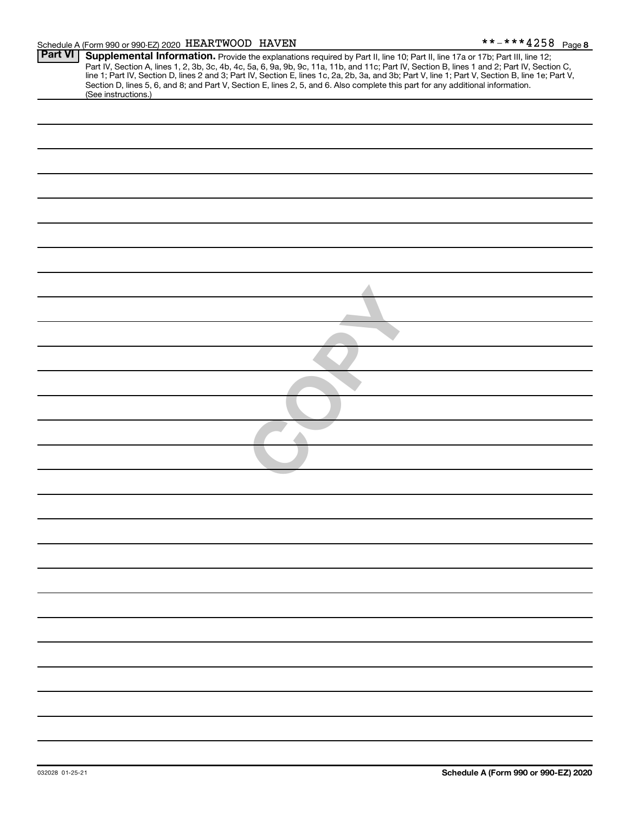#### Schedule A (Form 990 or 990-EZ) 2020 Page *HEARTWOOD HAVEN \*\*-\*\*\*4258*

| <b>Part VI</b> | Supplemental Information. Provide the explanations required by Part II, line 10; Part II, line 17a or 17b; Part III, line 12;                                                                                                                                                                                                                                                              |
|----------------|--------------------------------------------------------------------------------------------------------------------------------------------------------------------------------------------------------------------------------------------------------------------------------------------------------------------------------------------------------------------------------------------|
|                | Part IV, Section A, lines 1, 2, 3b, 3c, 4b, 4c, 5a, 6, 9a, 9b, 9c, 11a, 11b, and 11c; Part IV, Section B, lines 1 and 2; Part IV, Section C,<br>line 1; Part IV, Section D, lines 2 and 3; Part IV, Section E, lines 1c, 2a, 2b,<br>Section D, lines 5, 6, and 8; and Part V, Section E, lines 2, 5, and 6. Also complete this part for any additional information.<br>(See instructions.) |
|                |                                                                                                                                                                                                                                                                                                                                                                                            |
|                |                                                                                                                                                                                                                                                                                                                                                                                            |
|                |                                                                                                                                                                                                                                                                                                                                                                                            |
|                |                                                                                                                                                                                                                                                                                                                                                                                            |
|                |                                                                                                                                                                                                                                                                                                                                                                                            |
|                |                                                                                                                                                                                                                                                                                                                                                                                            |
|                |                                                                                                                                                                                                                                                                                                                                                                                            |
|                |                                                                                                                                                                                                                                                                                                                                                                                            |
|                |                                                                                                                                                                                                                                                                                                                                                                                            |
|                |                                                                                                                                                                                                                                                                                                                                                                                            |
|                |                                                                                                                                                                                                                                                                                                                                                                                            |
|                |                                                                                                                                                                                                                                                                                                                                                                                            |
|                |                                                                                                                                                                                                                                                                                                                                                                                            |
|                |                                                                                                                                                                                                                                                                                                                                                                                            |
|                |                                                                                                                                                                                                                                                                                                                                                                                            |
|                |                                                                                                                                                                                                                                                                                                                                                                                            |
|                |                                                                                                                                                                                                                                                                                                                                                                                            |
|                |                                                                                                                                                                                                                                                                                                                                                                                            |
|                |                                                                                                                                                                                                                                                                                                                                                                                            |
|                |                                                                                                                                                                                                                                                                                                                                                                                            |
|                |                                                                                                                                                                                                                                                                                                                                                                                            |
|                |                                                                                                                                                                                                                                                                                                                                                                                            |
|                |                                                                                                                                                                                                                                                                                                                                                                                            |
|                |                                                                                                                                                                                                                                                                                                                                                                                            |
|                |                                                                                                                                                                                                                                                                                                                                                                                            |
|                |                                                                                                                                                                                                                                                                                                                                                                                            |
|                |                                                                                                                                                                                                                                                                                                                                                                                            |
|                |                                                                                                                                                                                                                                                                                                                                                                                            |
|                |                                                                                                                                                                                                                                                                                                                                                                                            |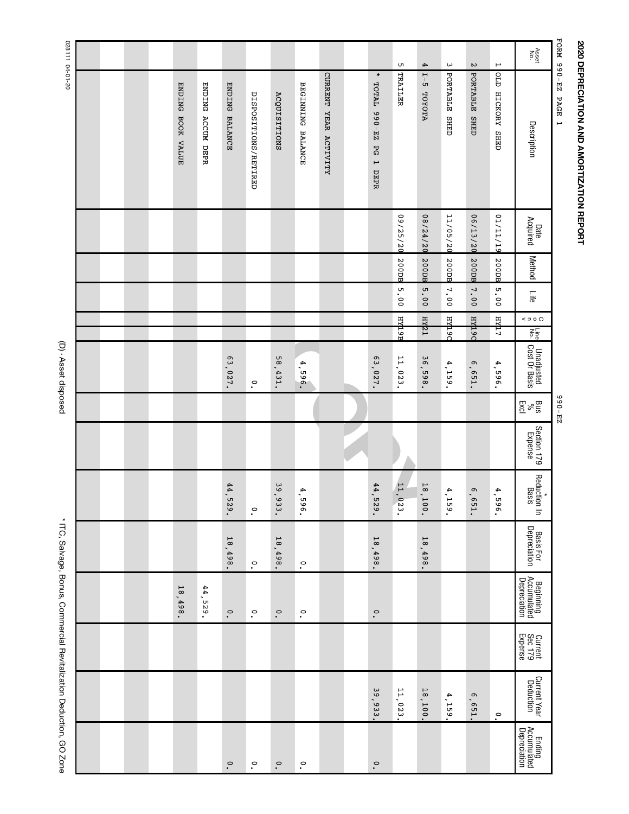# 2020 DEPRECIATION AND AMORTIZATION REPORT **2020 DEPRECIATION AND AMORTIZATION REPORT**

FORM 990-EZ PAGE 1 FORM 990-EZ PAGE 1

| FORM 990-EZ           | PAGE<br>$\overline{a}$                                        |                  |        |      |        |                                                                          | $23 - 066$                      |                        |                                  |                                     |                                          |                               |                           |                                       |
|-----------------------|---------------------------------------------------------------|------------------|--------|------|--------|--------------------------------------------------------------------------|---------------------------------|------------------------|----------------------------------|-------------------------------------|------------------------------------------|-------------------------------|---------------------------|---------------------------------------|
| Asset<br>No.          | Description                                                   | Date<br>Acquired | Method | Life | 500    | $\frac{1}{2}$ $\frac{1}{2}$ $\frac{1}{2}$<br>Unadjusted<br>Cost Or Basis | $\frac{B \times E}{E \times C}$ | Section 179<br>Expense | Reduction In<br>Reduction In     | <b>Basis For<br/>Depreciation</b>   | Beginning<br>Accumulated<br>Depreciation | Current<br>Sec 179<br>Expense | Current Year<br>Deduction | Ending<br>Accumulated<br>Depreciation |
| $\mapsto$             | GTO<br>HICKORY SHED                                           | 01/11/10         | 200DB  | 5.00 | лфи    | 4,596.                                                                   |                                 |                        | 4.<br>965<br>$\bullet$           |                                     |                                          |                               | $\circ$                   |                                       |
| $\mathop{\mathsf{N}}$ | PORTABLE<br><b>CHED</b>                                       | 06/13/20         | 200DB  | 7.00 | р бфан | 6,651.                                                                   |                                 |                        | $\sigma$<br>۰<br><b>LS9</b>      |                                     |                                          |                               | G<br>۰<br>L <sub>59</sub> |                                       |
| $\boldsymbol{\omega}$ | PORTABLE<br><b>CHED</b>                                       | 11/05/20         | 200DB  | 7.00 | рыфн   | 4,159                                                                    |                                 |                        | 4.<br>159<br>$\bullet$           |                                     |                                          |                               | Æ<br>۰<br>559             |                                       |
| 4                     | $\overline{L}$ – $\overline{S}$<br><b>ATOYOTA</b>             | 02/74/20         | 200DB  | 5.00 | т такн | ρ<br>δ<br>۰<br>865                                                       |                                 |                        | $\frac{1}{8}$<br>,<br><b>100</b> | 18,498                              |                                          |                               | 18,100                    |                                       |
| Lл                    | TRAILER                                                       | 09/25/20         | 200DB  | 5.00 | н фар  | 11,023.                                                                  |                                 |                        | 11 <sub>1</sub><br>023.          |                                     |                                          |                               | 11,023                    |                                       |
|                       | $\ast$<br>TOTAL 990-EZ<br><b>PG</b><br>$\overline{a}$<br>DEPR |                  |        |      |        | 63,027.                                                                  |                                 |                        | 44,<br>525<br>$\bullet$          | 18,498.                             | $\circ$<br>$\bullet$                     |                               | 39,933                    | $\circ$                               |
|                       |                                                               |                  |        |      |        |                                                                          |                                 |                        |                                  |                                     |                                          |                               |                           |                                       |
|                       | CURRENT YEAR ACTIVITY                                         |                  |        |      |        |                                                                          |                                 |                        |                                  |                                     |                                          |                               |                           |                                       |
|                       | BEGINNING BALANCE                                             |                  |        |      |        | 4,596.                                                                   |                                 |                        | 4.<br>965<br>$\bullet$           | $\circ$<br>$\bullet$                | $\cdot^{\circ}$                          |                               |                           | $\circ$                               |
|                       | <b>ACQUISITIONS</b>                                           |                  |        |      |        | 58,431.                                                                  |                                 |                        | 39,7<br>933                      | $\overline{\mathtt{s}}$<br>÷<br>498 | $\circ$                                  |                               |                           | $\circ$                               |
|                       | DISPOSITIONS/RETIRED                                          |                  |        |      |        | $\cdot^\circ$                                                            |                                 |                        | $\circ$<br>$\bullet$             | $\circ$                             | $\cdot^{\circ}$                          |                               |                           | $\circ$                               |
|                       | <b>ENDING</b><br><b>BALANCE</b>                               |                  |        |      |        | 63,027.                                                                  |                                 |                        | 44<br>675                        | $\frac{1}{8}$<br>۰.<br>498          | $\circ$                                  |                               |                           | $\circ$                               |
|                       | <b>ENDING</b><br><b>ACCUM DEPR</b>                            |                  |        |      |        |                                                                          |                                 |                        |                                  |                                     | 44,<br>$-529.$                           |                               |                           |                                       |
|                       | <b>ENDING</b><br>BOOK VALUE                                   |                  |        |      |        |                                                                          |                                 |                        |                                  |                                     | $\frac{1}{8}$<br>498                     |                               |                           |                                       |
|                       |                                                               |                  |        |      |        |                                                                          |                                 |                        |                                  |                                     |                                          |                               |                           |                                       |
|                       |                                                               |                  |        |      |        |                                                                          |                                 |                        |                                  |                                     |                                          |                               |                           |                                       |
|                       |                                                               |                  |        |      |        |                                                                          |                                 |                        |                                  |                                     |                                          |                               |                           |                                       |
|                       |                                                               |                  |        |      |        |                                                                          |                                 |                        |                                  |                                     |                                          |                               |                           |                                       |

(D) - Asset disposed (D) - Asset disposed

\* ITC, Salvage, Bonus, Commercial Revitalization Deduction, GO Zone \* ITC, Salvage, Bonus, Commercial Revitalization Deduction, GO Zone

02-10-70 11820 028111 04-01-20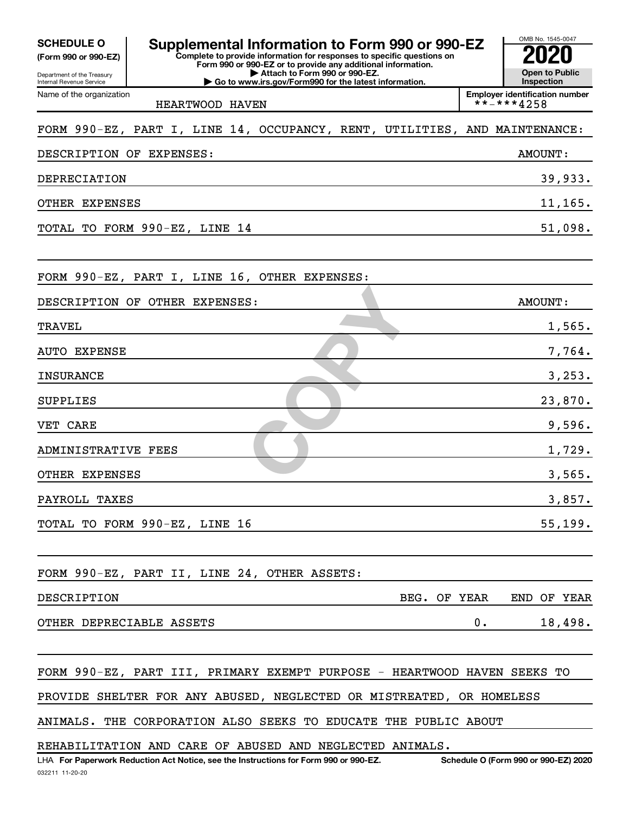| <b>SCHEDULE O</b><br>(Form 990 or 990-EZ)<br>Department of the Treasury<br>Internal Revenue Service | Supplemental Information to Form 990 or 990-EZ<br>Complete to provide information for responses to specific questions on<br>Form 990 or 990-EZ or to provide any additional information.<br>Attach to Form 990 or 990-EZ.<br>Go to www.irs.gov/Form990 for the latest information. | OMB No. 1545-0047<br><b>Open to Public</b><br>Inspection |
|-----------------------------------------------------------------------------------------------------|------------------------------------------------------------------------------------------------------------------------------------------------------------------------------------------------------------------------------------------------------------------------------------|----------------------------------------------------------|
| Name of the organization                                                                            | HEARTWOOD HAVEN                                                                                                                                                                                                                                                                    | <b>Employer identification number</b><br>**-***4258      |
|                                                                                                     |                                                                                                                                                                                                                                                                                    |                                                          |
|                                                                                                     | FORM 990-EZ, PART I, LINE 14, OCCUPANCY, RENT, UTILITIES, AND MAINTENANCE:                                                                                                                                                                                                         |                                                          |
| DESCRIPTION OF EXPENSES:                                                                            |                                                                                                                                                                                                                                                                                    | AMOUNT:                                                  |
| DEPRECIATION                                                                                        |                                                                                                                                                                                                                                                                                    | 39,933.                                                  |
| OTHER EXPENSES                                                                                      |                                                                                                                                                                                                                                                                                    | 11,165.                                                  |
|                                                                                                     | TOTAL TO FORM 990-EZ, LINE 14                                                                                                                                                                                                                                                      | 51,098.                                                  |
|                                                                                                     | FORM 990-EZ, PART I, LINE 16, OTHER EXPENSES:                                                                                                                                                                                                                                      |                                                          |
|                                                                                                     | DESCRIPTION OF OTHER EXPENSES:                                                                                                                                                                                                                                                     | <b>AMOUNT:</b>                                           |
| <b>TRAVEL</b>                                                                                       |                                                                                                                                                                                                                                                                                    | 1,565.                                                   |
| <b>AUTO EXPENSE</b>                                                                                 |                                                                                                                                                                                                                                                                                    | 7,764.                                                   |
| <b>INSURANCE</b>                                                                                    |                                                                                                                                                                                                                                                                                    | 3, 253.                                                  |
| SUPPLIES                                                                                            |                                                                                                                                                                                                                                                                                    | 23,870.                                                  |
| VET CARE                                                                                            |                                                                                                                                                                                                                                                                                    | 9,596.                                                   |
| ADMINISTRATIVE FEES                                                                                 |                                                                                                                                                                                                                                                                                    | 1,729.                                                   |
| OTHER EXPENSES                                                                                      |                                                                                                                                                                                                                                                                                    | 3,565.                                                   |
| PAYROLL TAXES                                                                                       |                                                                                                                                                                                                                                                                                    | 3,857.                                                   |
|                                                                                                     | TOTAL TO FORM 990-EZ, LINE 16                                                                                                                                                                                                                                                      | 55, 199.                                                 |
|                                                                                                     | FORM 990-EZ, PART II, LINE 24, OTHER ASSETS:                                                                                                                                                                                                                                       |                                                          |
| DESCRIPTION                                                                                         | BEG. OF YEAR                                                                                                                                                                                                                                                                       | END OF YEAR                                              |
| OTHER DEPRECIABLE ASSETS                                                                            |                                                                                                                                                                                                                                                                                    | 0.<br>18,498.                                            |
|                                                                                                     | FORM 990-EZ, PART III, PRIMARY EXEMPT PURPOSE - HEARTWOOD HAVEN SEEKS TO                                                                                                                                                                                                           |                                                          |
|                                                                                                     | PROVIDE SHELTER FOR ANY ABUSED, NEGLECTED OR MISTREATED, OR HOMELESS                                                                                                                                                                                                               |                                                          |
|                                                                                                     | ANIMALS. THE CORPORATION ALSO SEEKS TO EDUCATE THE PUBLIC ABOUT                                                                                                                                                                                                                    |                                                          |
|                                                                                                     | REHABILITATION AND CARE OF ABUSED AND NEGLECTED ANIMALS.                                                                                                                                                                                                                           |                                                          |
|                                                                                                     | LHA For Paperwork Reduction Act Notice, see the Instructions for Form 990 or 990-EZ.                                                                                                                                                                                               | Schedule O (Form 990 or 990-EZ) 2020                     |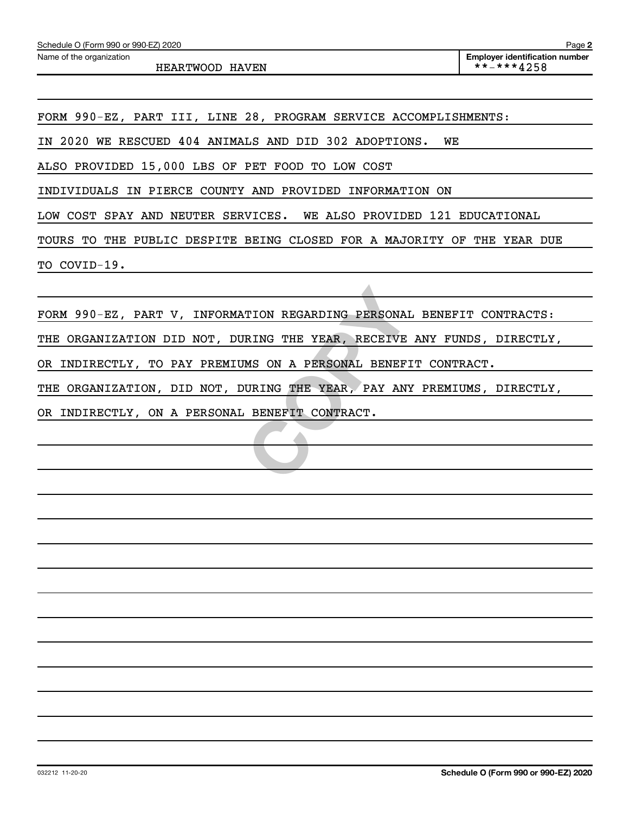*HEARTWOOD HAVEN \*\*-\*\*\*4258*

*FORM 990-EZ, PART III, LINE 28, PROGRAM SERVICE ACCOMPLISHMENTS:*

*IN 2020 WE RESCUED 404 ANIMALS AND DID 302 ADOPTIONS. WE*

*ALSO PROVIDED 15,000 LBS OF PET FOOD TO LOW COST*

*INDIVIDUALS IN PIERCE COUNTY AND PROVIDED INFORMATION ON*

*LOW COST SPAY AND NEUTER SERVICES. WE ALSO PROVIDED 121 EDUCATIONAL*

*TOURS TO THE PUBLIC DESPITE BEING CLOSED FOR A MAJORITY OF THE YEAR DUE TO COVID-19.*

TION REGARDING PERSONAL BEN<br>
RING THE YEAR, RECEIVE ANY<br>
MS ON A PERSONAL BENEFIT CO<br>
URING THE YEAR, PAY ANY PRE<br>
BENEFIT CONTRACT. *FORM 990-EZ, PART V, INFORMATION REGARDING PERSONAL BENEFIT CONTRACTS:*

*THE ORGANIZATION DID NOT, DURING THE YEAR, RECEIVE ANY FUNDS, DIRECTLY,*

*OR INDIRECTLY, TO PAY PREMIUMS ON A PERSONAL BENEFIT CONTRACT.*

*THE ORGANIZATION, DID NOT, DURING THE YEAR, PAY ANY PREMIUMS, DIRECTLY,*

*OR INDIRECTLY, ON A PERSONAL BENEFIT CONTRACT.*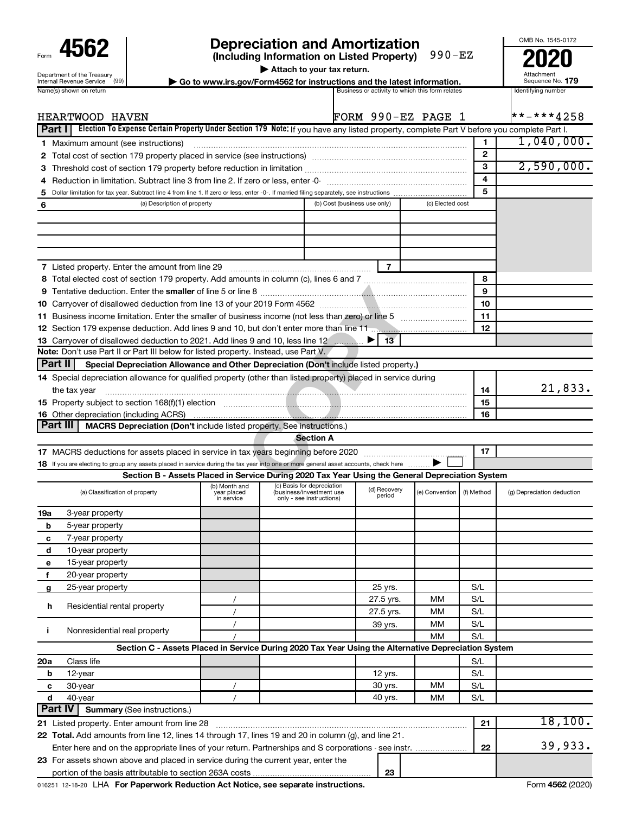| Form                                                          |
|---------------------------------------------------------------|
| Department of the Treasury<br><b>Internal Revenue Service</b> |
| .                                                             |

## **4562 Depreciation and Amortization**<br>
(Including Information on Listed Property) 990-EZ<br>
2020

**| Attach to your tax return.**

Attachment Sequence No.

OMB No. 1545-0172

| ENGILIJENI UI LIJE TIEGSUIV<br>(99)<br>ternal Revenue Service | Go to www.irs.gov/Form4562 for instructions and the latest information. |                                                 | Augulille II<br>Sequence No. |
|---------------------------------------------------------------|-------------------------------------------------------------------------|-------------------------------------------------|------------------------------|
| ame(s) shown on return                                        |                                                                         | Business or activity to which this form relates | Identifying number           |

|                | HEARTWOOD HAVEN                                                                                                                                                                                                                                                                                                                                                                                                                                                                                                                             |                                            |                                                                                    | FORM 990-EZ PAGE 1           |                        |                  |                          | **-***4258                 |
|----------------|---------------------------------------------------------------------------------------------------------------------------------------------------------------------------------------------------------------------------------------------------------------------------------------------------------------------------------------------------------------------------------------------------------------------------------------------------------------------------------------------------------------------------------------------|--------------------------------------------|------------------------------------------------------------------------------------|------------------------------|------------------------|------------------|--------------------------|----------------------------|
| <b>Part I</b>  | Election To Expense Certain Property Under Section 179 Note: If you have any listed property, complete Part V before you complete Part I.                                                                                                                                                                                                                                                                                                                                                                                                   |                                            |                                                                                    |                              |                        |                  |                          |                            |
|                | 1 Maximum amount (see instructions)                                                                                                                                                                                                                                                                                                                                                                                                                                                                                                         |                                            |                                                                                    |                              |                        |                  | 1                        | $1,040,000$ .              |
|                |                                                                                                                                                                                                                                                                                                                                                                                                                                                                                                                                             |                                            |                                                                                    |                              |                        |                  | $\mathbf{2}$             |                            |
| З              | Threshold cost of section 179 property before reduction in limitation [11] manuscription control cost of section 179 property before reduction in limitation [11] manuscription of the section 179 property of the reduction i                                                                                                                                                                                                                                                                                                              |                                            |                                                                                    |                              |                        |                  | 3                        | 2,590,000.                 |
| 4              |                                                                                                                                                                                                                                                                                                                                                                                                                                                                                                                                             |                                            |                                                                                    |                              |                        |                  | 4                        |                            |
| 5              |                                                                                                                                                                                                                                                                                                                                                                                                                                                                                                                                             |                                            |                                                                                    |                              |                        |                  | 5                        |                            |
| 6              | (a) Description of property                                                                                                                                                                                                                                                                                                                                                                                                                                                                                                                 |                                            |                                                                                    | (b) Cost (business use only) |                        | (c) Elected cost |                          |                            |
| <b>Part II</b> | 7 Listed property. Enter the amount from line 29<br>11 Business income limitation. Enter the smaller of business income (not less than zero) or line 5<br>13 Carryover of disallowed deduction to 2021. Add lines 9 and 10, less line 12<br>Note: Don't use Part II or Part III below for listed property. Instead, use Part V.<br>Special Depreciation Allowance and Other Depreciation (Don't include listed property.)<br>14 Special depreciation allowance for qualified property (other than listed property) placed in service during |                                            |                                                                                    |                              | 7<br>13                |                  | 8<br>9<br>10<br>11<br>12 |                            |
|                | the tax year                                                                                                                                                                                                                                                                                                                                                                                                                                                                                                                                |                                            |                                                                                    |                              |                        |                  | 14                       | 21,833.                    |
|                | 15 Property subject to section 168(f)(1) election manufactured and contain an according to Property subject to section 168(f)(1) election                                                                                                                                                                                                                                                                                                                                                                                                   |                                            |                                                                                    |                              |                        |                  | 15                       |                            |
|                | <b>16</b> Other depreciation (including ACRS)                                                                                                                                                                                                                                                                                                                                                                                                                                                                                               |                                            |                                                                                    |                              |                        |                  | 16                       |                            |
| Part III       | MACRS Depreciation (Don't include listed property. See instructions.)                                                                                                                                                                                                                                                                                                                                                                                                                                                                       |                                            |                                                                                    |                              |                        |                  |                          |                            |
|                |                                                                                                                                                                                                                                                                                                                                                                                                                                                                                                                                             |                                            | <b>Section A</b>                                                                   |                              |                        |                  |                          |                            |
|                |                                                                                                                                                                                                                                                                                                                                                                                                                                                                                                                                             |                                            |                                                                                    |                              |                        |                  | 17                       |                            |
|                | 18 If you are electing to group any assets placed in service during the tax year into one or more general asset accounts, check here                                                                                                                                                                                                                                                                                                                                                                                                        |                                            |                                                                                    |                              |                        |                  |                          |                            |
|                | Section B - Assets Placed in Service During 2020 Tax Year Using the General Depreciation System                                                                                                                                                                                                                                                                                                                                                                                                                                             |                                            |                                                                                    |                              |                        |                  |                          |                            |
|                | (a) Classification of property                                                                                                                                                                                                                                                                                                                                                                                                                                                                                                              | (b) Month and<br>year placed<br>in service | (c) Basis for depreciation<br>(business/investment use<br>only - see instructions) |                              | (d) Recovery<br>period | (e) Convention   | (f) Method               | (g) Depreciation deduction |
| 19a            | 3-year property                                                                                                                                                                                                                                                                                                                                                                                                                                                                                                                             |                                            |                                                                                    |                              |                        |                  |                          |                            |
| b              | 5-year property                                                                                                                                                                                                                                                                                                                                                                                                                                                                                                                             |                                            |                                                                                    |                              |                        |                  |                          |                            |
| c              | 7-year property                                                                                                                                                                                                                                                                                                                                                                                                                                                                                                                             |                                            |                                                                                    |                              |                        |                  |                          |                            |
| d              | 10-year property                                                                                                                                                                                                                                                                                                                                                                                                                                                                                                                            |                                            |                                                                                    |                              |                        |                  |                          |                            |
| е              | 15-year property                                                                                                                                                                                                                                                                                                                                                                                                                                                                                                                            |                                            |                                                                                    |                              |                        |                  |                          |                            |
| f              | 20-year property                                                                                                                                                                                                                                                                                                                                                                                                                                                                                                                            |                                            |                                                                                    |                              |                        |                  |                          |                            |
| g              | 25-year property                                                                                                                                                                                                                                                                                                                                                                                                                                                                                                                            |                                            |                                                                                    |                              | 25 yrs.                |                  | S/L                      |                            |
|                |                                                                                                                                                                                                                                                                                                                                                                                                                                                                                                                                             | $\prime$                                   |                                                                                    |                              | 27.5 yrs.              | MМ               | S/L                      |                            |
| h              | Residential rental property                                                                                                                                                                                                                                                                                                                                                                                                                                                                                                                 | $\prime$                                   |                                                                                    |                              | 27.5 yrs.              | MM               | S/L                      |                            |
|                |                                                                                                                                                                                                                                                                                                                                                                                                                                                                                                                                             | $\prime$                                   |                                                                                    |                              | 39 yrs.                | MM               | S/L                      |                            |
| j.             | Nonresidential real property                                                                                                                                                                                                                                                                                                                                                                                                                                                                                                                |                                            |                                                                                    |                              |                        | <b>MM</b>        | S/L                      |                            |
|                | Section C - Assets Placed in Service During 2020 Tax Year Using the Alternative Depreciation System                                                                                                                                                                                                                                                                                                                                                                                                                                         |                                            |                                                                                    |                              |                        |                  |                          |                            |
| 20a            | Class life                                                                                                                                                                                                                                                                                                                                                                                                                                                                                                                                  |                                            |                                                                                    |                              |                        |                  | S/L                      |                            |
| b              | 12-year                                                                                                                                                                                                                                                                                                                                                                                                                                                                                                                                     |                                            |                                                                                    |                              | 12 yrs.                |                  | S/L                      |                            |
| с              | 30-year                                                                                                                                                                                                                                                                                                                                                                                                                                                                                                                                     | $\prime$                                   |                                                                                    |                              | 30 yrs.                | мм               | S/L                      |                            |
| d              | 40-year                                                                                                                                                                                                                                                                                                                                                                                                                                                                                                                                     | $\sqrt{2}$                                 |                                                                                    |                              | 40 yrs.                | MМ               | S/L                      |                            |
| <b>Part IV</b> | <b>Summary (See instructions.)</b>                                                                                                                                                                                                                                                                                                                                                                                                                                                                                                          |                                            |                                                                                    |                              |                        |                  |                          |                            |
|                | 21 Listed property. Enter amount from line 28                                                                                                                                                                                                                                                                                                                                                                                                                                                                                               |                                            |                                                                                    |                              |                        |                  | 21                       | 18, 100.                   |
|                | 22 Total. Add amounts from line 12, lines 14 through 17, lines 19 and 20 in column (g), and line 21.                                                                                                                                                                                                                                                                                                                                                                                                                                        |                                            |                                                                                    |                              |                        |                  |                          |                            |
|                | Enter here and on the appropriate lines of your return. Partnerships and S corporations - see instr.<br>23 For assets shown above and placed in service during the current year, enter the                                                                                                                                                                                                                                                                                                                                                  |                                            |                                                                                    |                              |                        |                  | 22                       | 39,933.                    |
|                |                                                                                                                                                                                                                                                                                                                                                                                                                                                                                                                                             |                                            |                                                                                    |                              | 23                     |                  |                          |                            |